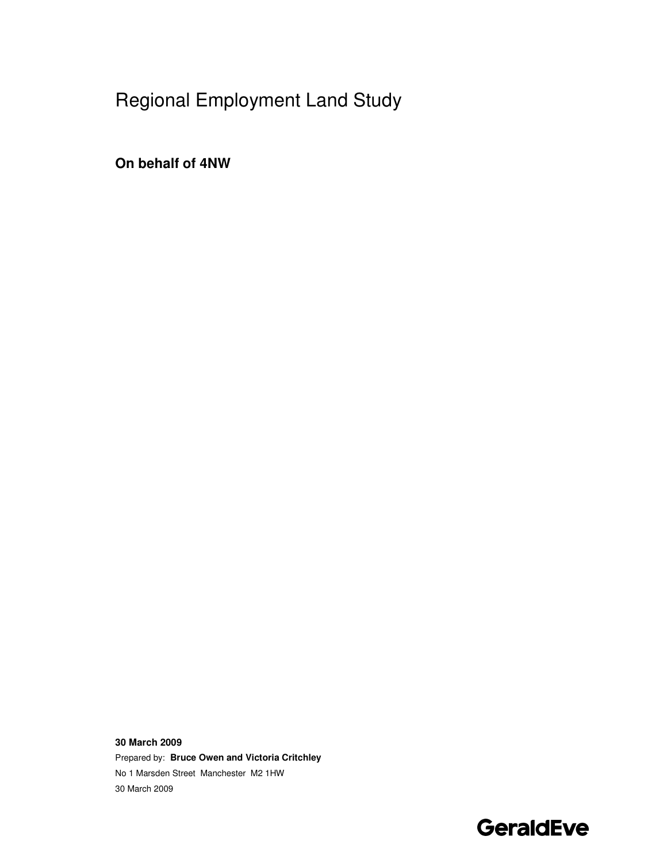# Regional Employment Land Study

**On behalf of 4NW** 

**30 March 2009**  Prepared by: **Bruce Owen and Victoria Critchley**  No 1 Marsden Street Manchester M2 1HW 30 March 2009

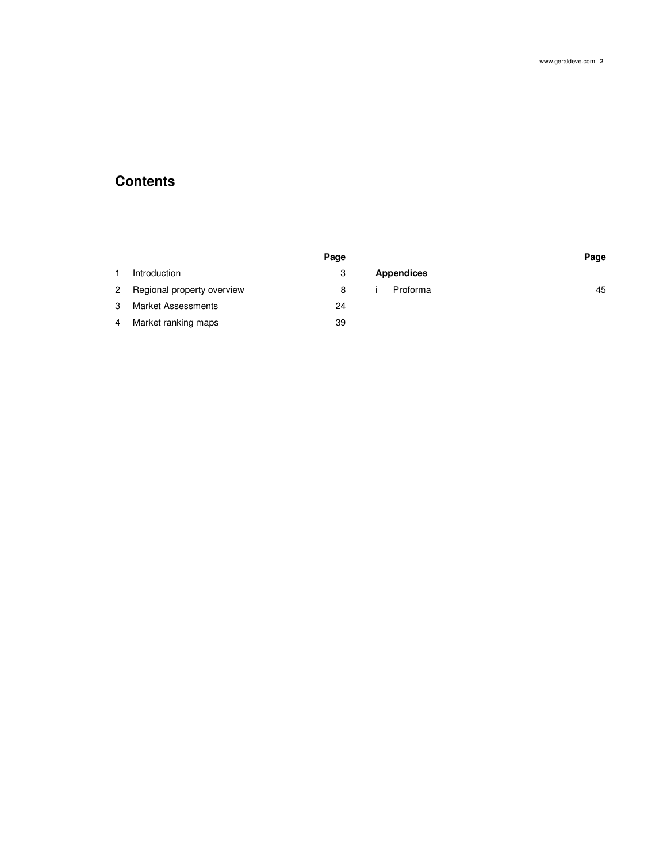## **Contents**

|        |                            | Page |                   | Page |
|--------|----------------------------|------|-------------------|------|
|        | Introduction               | 3    | <b>Appendices</b> |      |
| $^{2}$ | Regional property overview | 8    | Proforma          | 45   |
| 3      | <b>Market Assessments</b>  | 24   |                   |      |
| 4      | Market ranking maps        | 39   |                   |      |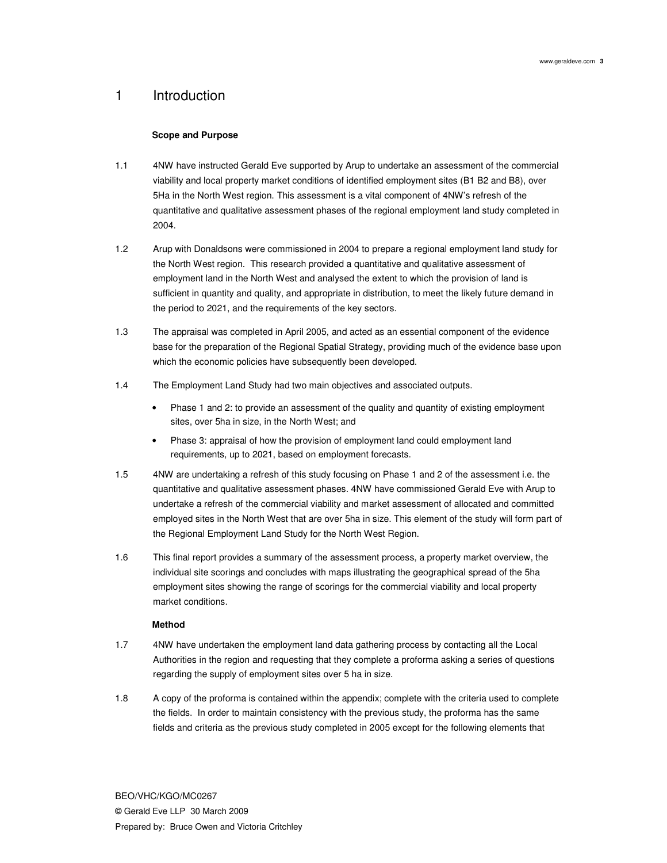## 1 Introduction

## **Scope and Purpose**

- 1.1 4NW have instructed Gerald Eve supported by Arup to undertake an assessment of the commercial viability and local property market conditions of identified employment sites (B1 B2 and B8), over 5Ha in the North West region. This assessment is a vital component of 4NW's refresh of the quantitative and qualitative assessment phases of the regional employment land study completed in 2004.
- 1.2 Arup with Donaldsons were commissioned in 2004 to prepare a regional employment land study for the North West region. This research provided a quantitative and qualitative assessment of employment land in the North West and analysed the extent to which the provision of land is sufficient in quantity and quality, and appropriate in distribution, to meet the likely future demand in the period to 2021, and the requirements of the key sectors.
- 1.3 The appraisal was completed in April 2005, and acted as an essential component of the evidence base for the preparation of the Regional Spatial Strategy, providing much of the evidence base upon which the economic policies have subsequently been developed.
- 1.4 The Employment Land Study had two main objectives and associated outputs.
	- Phase 1 and 2: to provide an assessment of the quality and quantity of existing employment sites, over 5ha in size, in the North West; and
	- Phase 3: appraisal of how the provision of employment land could employment land requirements, up to 2021, based on employment forecasts.
- 1.5 4NW are undertaking a refresh of this study focusing on Phase 1 and 2 of the assessment i.e. the quantitative and qualitative assessment phases. 4NW have commissioned Gerald Eve with Arup to undertake a refresh of the commercial viability and market assessment of allocated and committed employed sites in the North West that are over 5ha in size. This element of the study will form part of the Regional Employment Land Study for the North West Region.
- 1.6 This final report provides a summary of the assessment process, a property market overview, the individual site scorings and concludes with maps illustrating the geographical spread of the 5ha employment sites showing the range of scorings for the commercial viability and local property market conditions.

## **Method**

- 1.7 4NW have undertaken the employment land data gathering process by contacting all the Local Authorities in the region and requesting that they complete a proforma asking a series of questions regarding the supply of employment sites over 5 ha in size.
- 1.8 A copy of the proforma is contained within the appendix; complete with the criteria used to complete the fields. In order to maintain consistency with the previous study, the proforma has the same fields and criteria as the previous study completed in 2005 except for the following elements that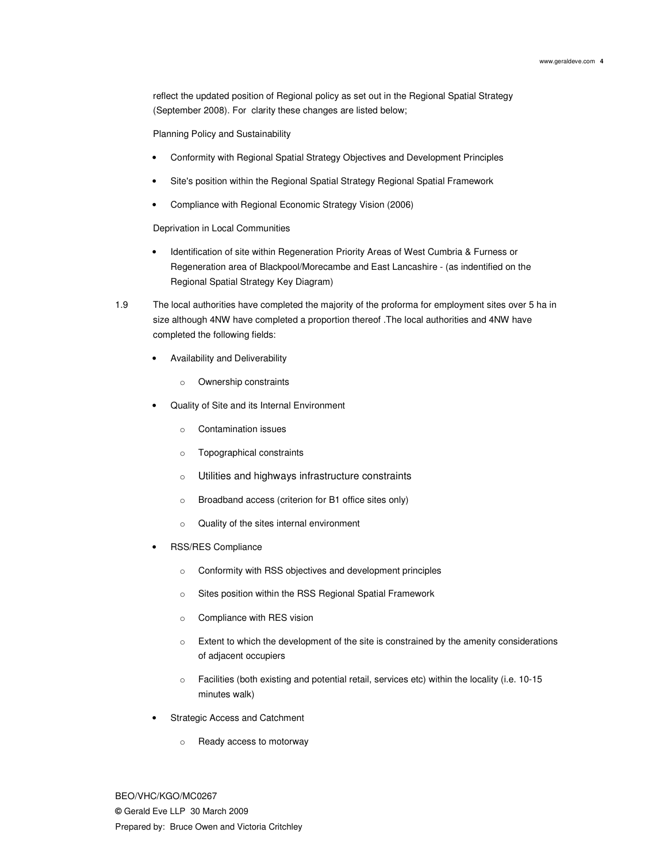reflect the updated position of Regional policy as set out in the Regional Spatial Strategy (September 2008). For clarity these changes are listed below;

Planning Policy and Sustainability

- Conformity with Regional Spatial Strategy Objectives and Development Principles
- Site's position within the Regional Spatial Strategy Regional Spatial Framework
- Compliance with Regional Economic Strategy Vision (2006)

Deprivation in Local Communities

- Identification of site within Regeneration Priority Areas of West Cumbria & Furness or Regeneration area of Blackpool/Morecambe and East Lancashire - (as indentified on the Regional Spatial Strategy Key Diagram)
- 1.9 The local authorities have completed the majority of the proforma for employment sites over 5 ha in size although 4NW have completed a proportion thereof .The local authorities and 4NW have completed the following fields:
	- Availability and Deliverability
		- o Ownership constraints
	- Quality of Site and its Internal Environment
		- o Contamination issues
		- o Topographical constraints
		- o Utilities and highways infrastructure constraints
		- o Broadband access (criterion for B1 office sites only)
		- o Quality of the sites internal environment
	- RSS/RES Compliance
		- o Conformity with RSS objectives and development principles
		- o Sites position within the RSS Regional Spatial Framework
		- o Compliance with RES vision
		- o Extent to which the development of the site is constrained by the amenity considerations of adjacent occupiers
		- o Facilities (both existing and potential retail, services etc) within the locality (i.e. 10-15 minutes walk)
	- Strategic Access and Catchment
		- o Ready access to motorway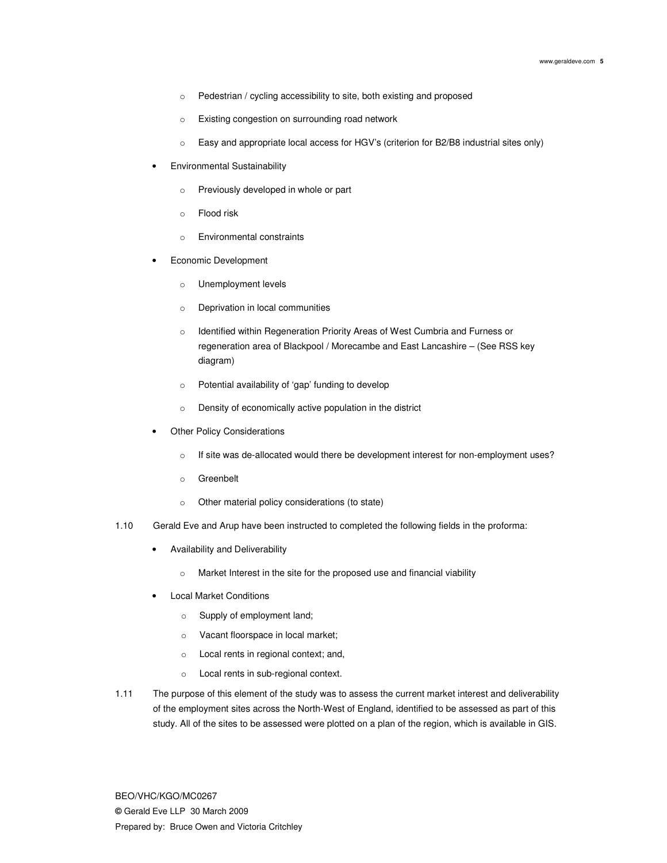- o Pedestrian / cycling accessibility to site, both existing and proposed
- o Existing congestion on surrounding road network
- o Easy and appropriate local access for HGV's (criterion for B2/B8 industrial sites only)
- Environmental Sustainability
	- o Previously developed in whole or part
	- o Flood risk
	- o Environmental constraints
- Economic Development
	- o Unemployment levels
	- o Deprivation in local communities
	- o Identified within Regeneration Priority Areas of West Cumbria and Furness or regeneration area of Blackpool / Morecambe and East Lancashire – (See RSS key diagram)
	- o Potential availability of 'gap' funding to develop
	- o Density of economically active population in the district
- **Other Policy Considerations** 
	- o If site was de-allocated would there be development interest for non-employment uses?
	- o Greenbelt
	- o Other material policy considerations (to state)
- 1.10 Gerald Eve and Arup have been instructed to completed the following fields in the proforma:
	- Availability and Deliverability
		- o Market Interest in the site for the proposed use and financial viability
	- Local Market Conditions
		- o Supply of employment land;
		- o Vacant floorspace in local market;
		- o Local rents in regional context; and,
		- o Local rents in sub-regional context.
- 1.11 The purpose of this element of the study was to assess the current market interest and deliverability of the employment sites across the North-West of England, identified to be assessed as part of this study. All of the sites to be assessed were plotted on a plan of the region, which is available in GIS.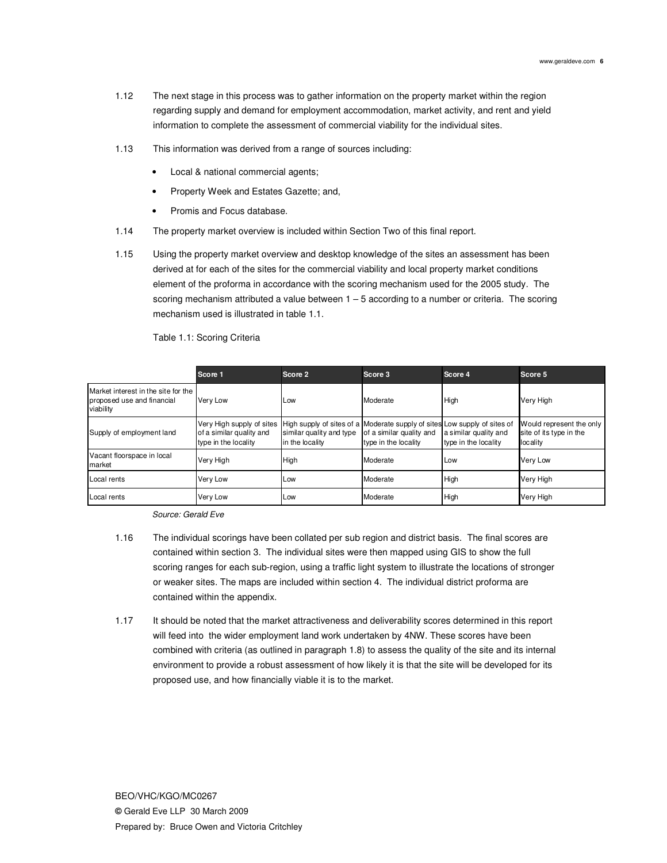- 1.12 The next stage in this process was to gather information on the property market within the region regarding supply and demand for employment accommodation, market activity, and rent and yield information to complete the assessment of commercial viability for the individual sites.
- 1.13 This information was derived from a range of sources including:
	- Local & national commercial agents;
	- Property Week and Estates Gazette; and,
	- Promis and Focus database.
- 1.14 The property market overview is included within Section Two of this final report.
- 1.15 Using the property market overview and desktop knowledge of the sites an assessment has been derived at for each of the sites for the commercial viability and local property market conditions element of the proforma in accordance with the scoring mechanism used for the 2005 study. The scoring mechanism attributed a value between  $1 - 5$  according to a number or criteria. The scoring mechanism used is illustrated in table 1.1.

Table 1.1: Scoring Criteria

|                                                                                | Score 1                                                                                                                                                   | Score 2                                     | Score 3                                          | Score 4                                       | Score 5                                                         |
|--------------------------------------------------------------------------------|-----------------------------------------------------------------------------------------------------------------------------------------------------------|---------------------------------------------|--------------------------------------------------|-----------------------------------------------|-----------------------------------------------------------------|
| Market interest in the site for the<br>proposed use and financial<br>viability | Very Low                                                                                                                                                  | Low                                         | Moderate                                         | High                                          | Very High                                                       |
| Supply of employment land                                                      | Very High supply of sites   High supply of sites of a Moderate supply of sites Low supply of sites of<br>of a similar quality and<br>type in the locality | similar quality and type<br>in the locality | of a similar quality and<br>type in the locality | a similar quality and<br>type in the locality | Would represent the only<br>site of its type in the<br>locality |
| Vacant floorspace in local<br>market                                           | Very High                                                                                                                                                 | High                                        | Moderate                                         | Low                                           | <b>Very Low</b>                                                 |
| Local rents                                                                    | Very Low                                                                                                                                                  | Low                                         | Moderate                                         | High                                          | Very High                                                       |
| Local rents                                                                    | Very Low                                                                                                                                                  | Low                                         | Moderate                                         | High                                          | Very High                                                       |

Source: Gerald Eve

- 1.16 The individual scorings have been collated per sub region and district basis. The final scores are contained within section 3. The individual sites were then mapped using GIS to show the full scoring ranges for each sub-region, using a traffic light system to illustrate the locations of stronger or weaker sites. The maps are included within section 4. The individual district proforma are contained within the appendix.
- 1.17 It should be noted that the market attractiveness and deliverability scores determined in this report will feed into the wider employment land work undertaken by 4NW. These scores have been combined with criteria (as outlined in paragraph 1.8) to assess the quality of the site and its internal environment to provide a robust assessment of how likely it is that the site will be developed for its proposed use, and how financially viable it is to the market.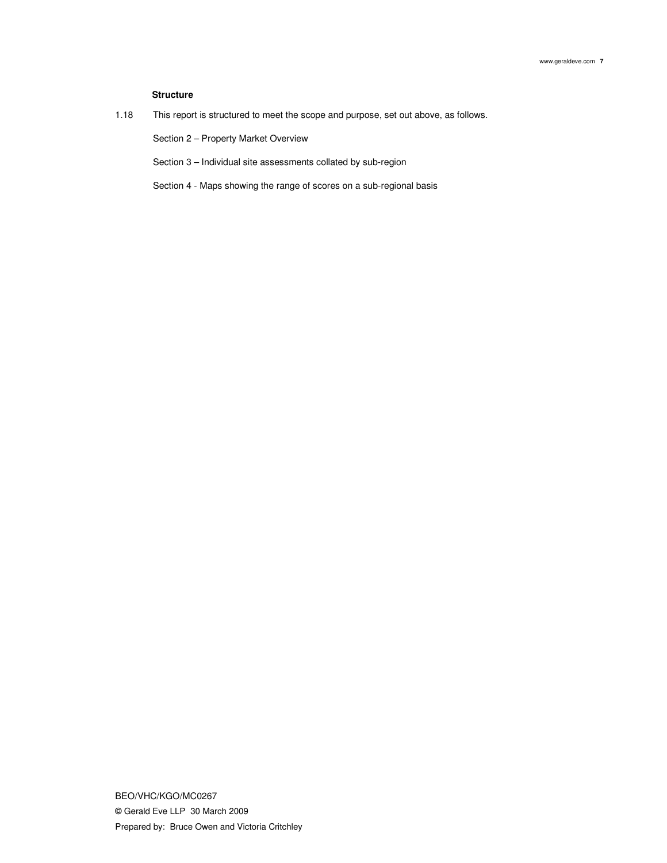## **Structure**

1.18 This report is structured to meet the scope and purpose, set out above, as follows.

Section 2 – Property Market Overview

Section 3 – Individual site assessments collated by sub-region

Section 4 - Maps showing the range of scores on a sub-regional basis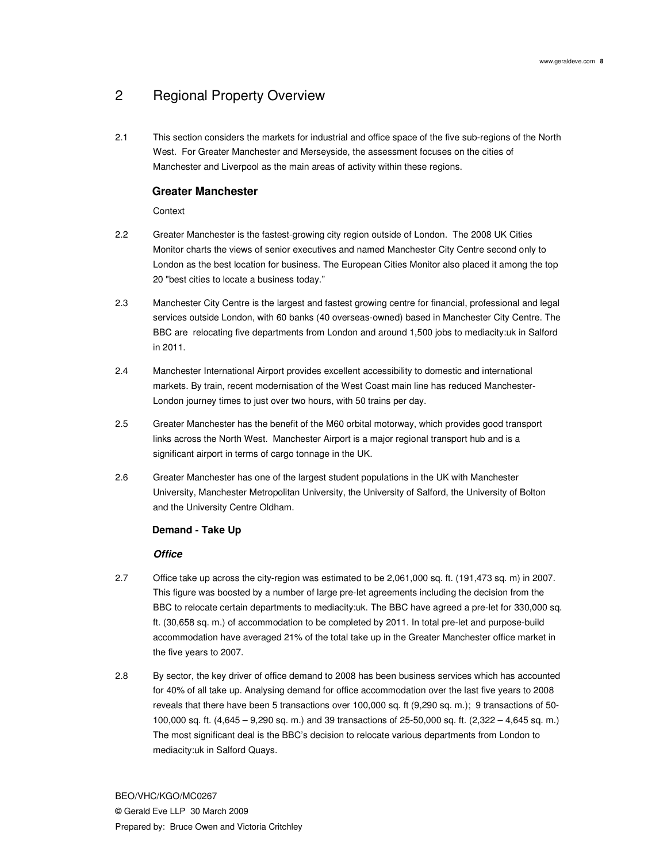## 2 Regional Property Overview

2.1 This section considers the markets for industrial and office space of the five sub-regions of the North West. For Greater Manchester and Merseyside, the assessment focuses on the cities of Manchester and Liverpool as the main areas of activity within these regions.

## **Greater Manchester**

**Context** 

- 2.2 Greater Manchester is the fastest-growing city region outside of London. The 2008 UK Cities Monitor charts the views of senior executives and named Manchester City Centre second only to London as the best location for business. The European Cities Monitor also placed it among the top 20 "best cities to locate a business today."
- 2.3 Manchester City Centre is the largest and fastest growing centre for financial, professional and legal services outside London, with 60 banks (40 overseas-owned) based in Manchester City Centre. The BBC are relocating five departments from London and around 1,500 jobs to mediacity:uk in Salford in 2011.
- 2.4 Manchester International Airport provides excellent accessibility to domestic and international markets. By train, recent modernisation of the West Coast main line has reduced Manchester-London journey times to just over two hours, with 50 trains per day.
- 2.5 Greater Manchester has the benefit of the M60 orbital motorway, which provides good transport links across the North West. Manchester Airport is a major regional transport hub and is a significant airport in terms of cargo tonnage in the UK.
- 2.6 Greater Manchester has one of the largest student populations in the UK with Manchester University, Manchester Metropolitan University, the University of Salford, the University of Bolton and the University Centre Oldham.

## **Demand - Take Up**

## **Office**

- 2.7 Office take up across the city-region was estimated to be 2,061,000 sq. ft. (191,473 sq. m) in 2007. This figure was boosted by a number of large pre-let agreements including the decision from the BBC to relocate certain departments to mediacity:uk. The BBC have agreed a pre-let for 330,000 sq. ft. (30,658 sq. m.) of accommodation to be completed by 2011. In total pre-let and purpose-build accommodation have averaged 21% of the total take up in the Greater Manchester office market in the five years to 2007.
- 2.8 By sector, the key driver of office demand to 2008 has been business services which has accounted for 40% of all take up. Analysing demand for office accommodation over the last five years to 2008 reveals that there have been 5 transactions over 100,000 sq. ft (9,290 sq. m.); 9 transactions of 50- 100,000 sq. ft. (4,645 – 9,290 sq. m.) and 39 transactions of 25-50,000 sq. ft. (2,322 – 4,645 sq. m.) The most significant deal is the BBC's decision to relocate various departments from London to mediacity:uk in Salford Quays.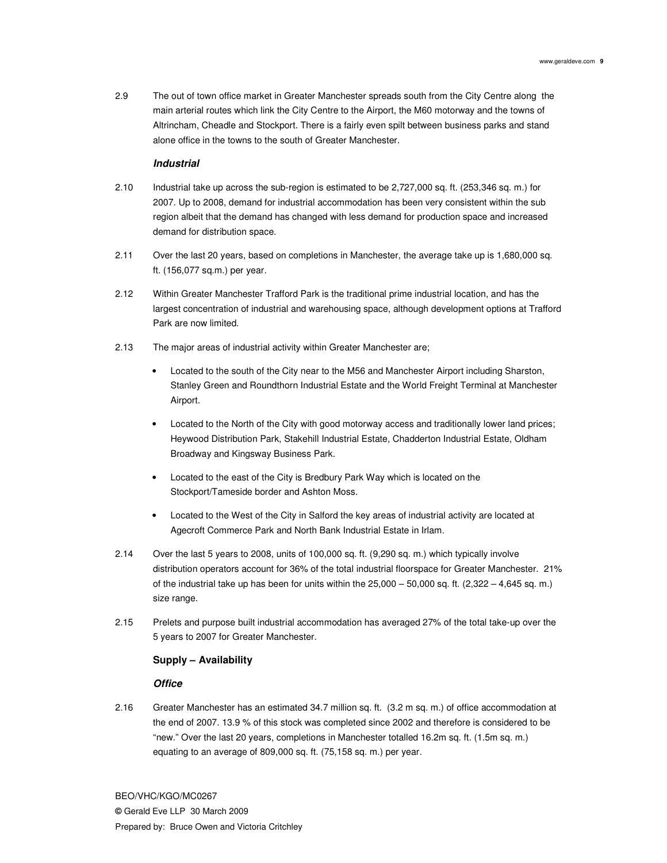2.9 The out of town office market in Greater Manchester spreads south from the City Centre along the main arterial routes which link the City Centre to the Airport, the M60 motorway and the towns of Altrincham, Cheadle and Stockport. There is a fairly even spilt between business parks and stand alone office in the towns to the south of Greater Manchester.

#### **Industrial**

- 2.10 Industrial take up across the sub-region is estimated to be 2,727,000 sq. ft. (253,346 sq. m.) for 2007. Up to 2008, demand for industrial accommodation has been very consistent within the sub region albeit that the demand has changed with less demand for production space and increased demand for distribution space.
- 2.11 Over the last 20 years, based on completions in Manchester, the average take up is 1,680,000 sq. ft. (156,077 sq.m.) per year.
- 2.12 Within Greater Manchester Trafford Park is the traditional prime industrial location, and has the largest concentration of industrial and warehousing space, although development options at Trafford Park are now limited.
- 2.13 The major areas of industrial activity within Greater Manchester are;
	- Located to the south of the City near to the M56 and Manchester Airport including Sharston, Stanley Green and Roundthorn Industrial Estate and the World Freight Terminal at Manchester Airport.
	- Located to the North of the City with good motorway access and traditionally lower land prices; Heywood Distribution Park, Stakehill Industrial Estate, Chadderton Industrial Estate, Oldham Broadway and Kingsway Business Park.
	- Located to the east of the City is Bredbury Park Way which is located on the Stockport/Tameside border and Ashton Moss.
	- Located to the West of the City in Salford the key areas of industrial activity are located at Agecroft Commerce Park and North Bank Industrial Estate in Irlam.
- 2.14 Over the last 5 years to 2008, units of 100,000 sq. ft. (9,290 sq. m.) which typically involve distribution operators account for 36% of the total industrial floorspace for Greater Manchester. 21% of the industrial take up has been for units within the  $25,000 - 50,000$  sq. ft.  $(2,322 - 4,645)$  sq. m.) size range.
- 2.15 Prelets and purpose built industrial accommodation has averaged 27% of the total take-up over the 5 years to 2007 for Greater Manchester.

## **Supply – Availability**

### **Office**

2.16 Greater Manchester has an estimated 34.7 million sq. ft. (3.2 m sq. m.) of office accommodation at the end of 2007. 13.9 % of this stock was completed since 2002 and therefore is considered to be "new." Over the last 20 years, completions in Manchester totalled 16.2m sq. ft. (1.5m sq. m.) equating to an average of 809,000 sq. ft. (75,158 sq. m.) per year.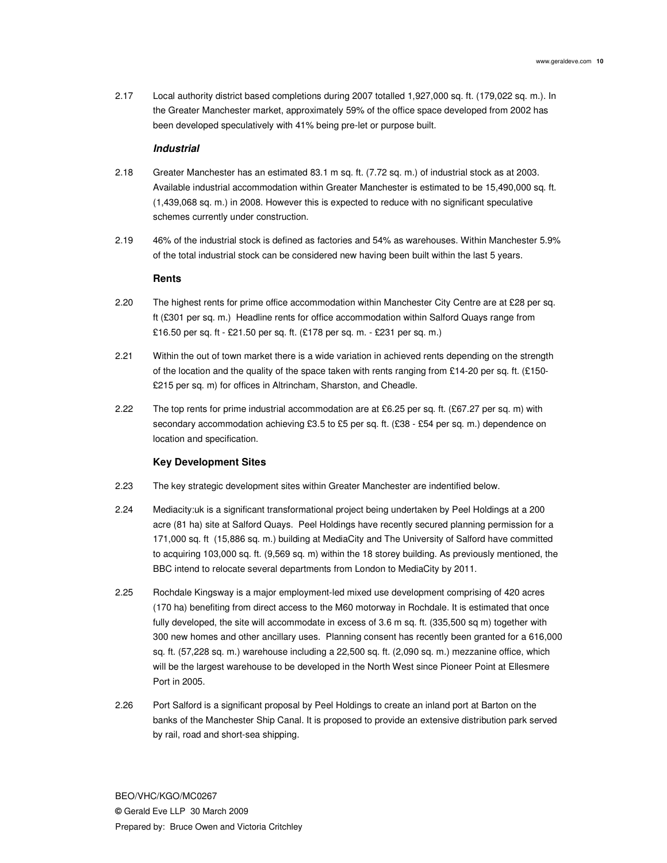2.17 Local authority district based completions during 2007 totalled 1,927,000 sq. ft. (179,022 sq. m.). In the Greater Manchester market, approximately 59% of the office space developed from 2002 has been developed speculatively with 41% being pre-let or purpose built.

#### **Industrial**

- 2.18 Greater Manchester has an estimated 83.1 m sq. ft. (7.72 sq. m.) of industrial stock as at 2003. Available industrial accommodation within Greater Manchester is estimated to be 15,490,000 sq. ft. (1,439,068 sq. m.) in 2008. However this is expected to reduce with no significant speculative schemes currently under construction.
- 2.19 46% of the industrial stock is defined as factories and 54% as warehouses. Within Manchester 5.9% of the total industrial stock can be considered new having been built within the last 5 years.

#### **Rents**

- 2.20 The highest rents for prime office accommodation within Manchester City Centre are at £28 per sq. ft (£301 per sq. m.) Headline rents for office accommodation within Salford Quays range from £16.50 per sq. ft - £21.50 per sq. ft. (£178 per sq. m. - £231 per sq. m.)
- 2.21 Within the out of town market there is a wide variation in achieved rents depending on the strength of the location and the quality of the space taken with rents ranging from £14-20 per sq. ft. (£150-£215 per sq. m) for offices in Altrincham, Sharston, and Cheadle.
- 2.22 The top rents for prime industrial accommodation are at £6.25 per sq. ft. (£67.27 per sq. m) with secondary accommodation achieving £3.5 to £5 per sq. ft. (£38 - £54 per sq. m.) dependence on location and specification.

#### **Key Development Sites**

- 2.23 The key strategic development sites within Greater Manchester are indentified below.
- 2.24 Mediacity:uk is a significant transformational project being undertaken by Peel Holdings at a 200 acre (81 ha) site at Salford Quays. Peel Holdings have recently secured planning permission for a 171,000 sq. ft (15,886 sq. m.) building at MediaCity and The University of Salford have committed to acquiring 103,000 sq. ft. (9,569 sq. m) within the 18 storey building. As previously mentioned, the BBC intend to relocate several departments from London to MediaCity by 2011.
- 2.25 Rochdale Kingsway is a major employment-led mixed use development comprising of 420 acres (170 ha) benefiting from direct access to the M60 motorway in Rochdale. It is estimated that once fully developed, the site will accommodate in excess of 3.6 m sq. ft. (335,500 sq m) together with 300 new homes and other ancillary uses. Planning consent has recently been granted for a 616,000 sq. ft. (57,228 sq. m.) warehouse including a 22,500 sq. ft. (2,090 sq. m.) mezzanine office, which will be the largest warehouse to be developed in the North West since Pioneer Point at Ellesmere Port in 2005.
- 2.26 Port Salford is a significant proposal by Peel Holdings to create an inland port at Barton on the banks of the Manchester Ship Canal. It is proposed to provide an extensive distribution park served by rail, road and short-sea shipping.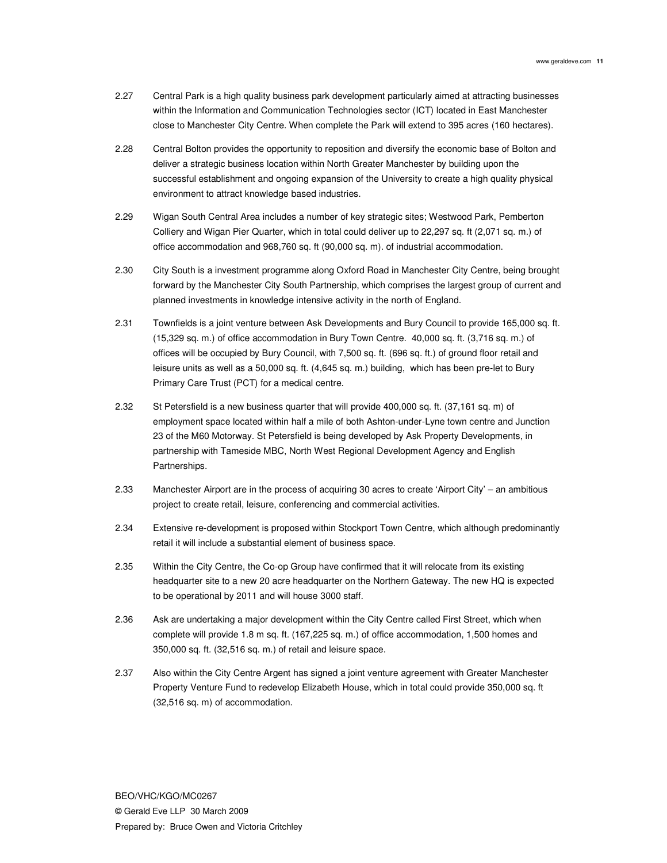- 2.27 Central Park is a high quality business park development particularly aimed at attracting businesses within the Information and Communication Technologies sector (ICT) located in East Manchester close to Manchester City Centre. When complete the Park will extend to 395 acres (160 hectares).
- 2.28 Central Bolton provides the opportunity to reposition and diversify the economic base of Bolton and deliver a strategic business location within North Greater Manchester by building upon the successful establishment and ongoing expansion of the University to create a high quality physical environment to attract knowledge based industries.
- 2.29 Wigan South Central Area includes a number of key strategic sites; Westwood Park, Pemberton Colliery and Wigan Pier Quarter, which in total could deliver up to 22,297 sq. ft (2,071 sq. m.) of office accommodation and 968,760 sq. ft (90,000 sq. m). of industrial accommodation.
- 2.30 City South is a investment programme along Oxford Road in Manchester City Centre, being brought forward by the Manchester City South Partnership, which comprises the largest group of current and planned investments in knowledge intensive activity in the north of England.
- 2.31 Townfields is a joint venture between Ask Developments and Bury Council to provide 165,000 sq. ft. (15,329 sq. m.) of office accommodation in Bury Town Centre. 40,000 sq. ft. (3,716 sq. m.) of offices will be occupied by Bury Council, with 7,500 sq. ft. (696 sq. ft.) of ground floor retail and leisure units as well as a 50,000 sq. ft. (4,645 sq. m.) building, which has been pre-let to Bury Primary Care Trust (PCT) for a medical centre.
- 2.32 St Petersfield is a new business quarter that will provide 400,000 sq. ft. (37,161 sq. m) of employment space located within half a mile of both Ashton-under-Lyne town centre and Junction 23 of the M60 Motorway. St Petersfield is being developed by Ask Property Developments, in partnership with Tameside MBC, North West Regional Development Agency and English Partnerships.
- 2.33 Manchester Airport are in the process of acquiring 30 acres to create 'Airport City' an ambitious project to create retail, leisure, conferencing and commercial activities.
- 2.34 Extensive re-development is proposed within Stockport Town Centre, which although predominantly retail it will include a substantial element of business space.
- 2.35 Within the City Centre, the Co-op Group have confirmed that it will relocate from its existing headquarter site to a new 20 acre headquarter on the Northern Gateway. The new HQ is expected to be operational by 2011 and will house 3000 staff.
- 2.36 Ask are undertaking a major development within the City Centre called First Street, which when complete will provide 1.8 m sq. ft. (167,225 sq. m.) of office accommodation, 1,500 homes and 350,000 sq. ft. (32,516 sq. m.) of retail and leisure space.
- 2.37 Also within the City Centre Argent has signed a joint venture agreement with Greater Manchester Property Venture Fund to redevelop Elizabeth House, which in total could provide 350,000 sq. ft (32,516 sq. m) of accommodation.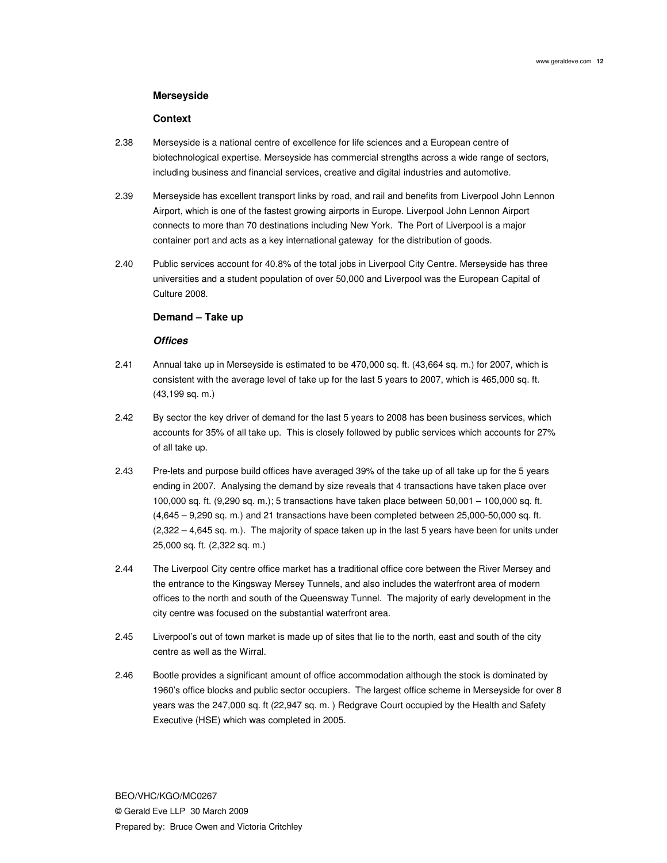## **Merseyside**

## **Context**

- 2.38 Merseyside is a national centre of excellence for life sciences and a European centre of biotechnological expertise. Merseyside has commercial strengths across a wide range of sectors, including business and financial services, creative and digital industries and automotive.
- 2.39 Merseyside has excellent transport links by road, and rail and benefits from Liverpool John Lennon Airport, which is one of the fastest growing airports in Europe. Liverpool John Lennon Airport connects to more than 70 destinations including New York. The Port of Liverpool is a major container port and acts as a key international gateway for the distribution of goods.
- 2.40 Public services account for 40.8% of the total jobs in Liverpool City Centre. Merseyside has three universities and a student population of over 50,000 and Liverpool was the European Capital of Culture 2008.

## **Demand – Take up**

## **Offices**

- 2.41 Annual take up in Merseyside is estimated to be 470,000 sq. ft. (43,664 sq. m.) for 2007, which is consistent with the average level of take up for the last 5 years to 2007, which is 465,000 sq. ft. (43,199 sq. m.)
- 2.42 By sector the key driver of demand for the last 5 years to 2008 has been business services, which accounts for 35% of all take up. This is closely followed by public services which accounts for 27% of all take up.
- 2.43 Pre-lets and purpose build offices have averaged 39% of the take up of all take up for the 5 years ending in 2007. Analysing the demand by size reveals that 4 transactions have taken place over 100,000 sq. ft. (9,290 sq. m.); 5 transactions have taken place between 50,001 – 100,000 sq. ft. (4,645 – 9,290 sq. m.) and 21 transactions have been completed between 25,000-50,000 sq. ft. (2,322 – 4,645 sq. m.). The majority of space taken up in the last 5 years have been for units under 25,000 sq. ft. (2,322 sq. m.)
- 2.44 The Liverpool City centre office market has a traditional office core between the River Mersey and the entrance to the Kingsway Mersey Tunnels, and also includes the waterfront area of modern offices to the north and south of the Queensway Tunnel. The majority of early development in the city centre was focused on the substantial waterfront area.
- 2.45 Liverpool's out of town market is made up of sites that lie to the north, east and south of the city centre as well as the Wirral.
- 2.46 Bootle provides a significant amount of office accommodation although the stock is dominated by 1960's office blocks and public sector occupiers. The largest office scheme in Merseyside for over 8 years was the 247,000 sq. ft (22,947 sq. m. ) Redgrave Court occupied by the Health and Safety Executive (HSE) which was completed in 2005.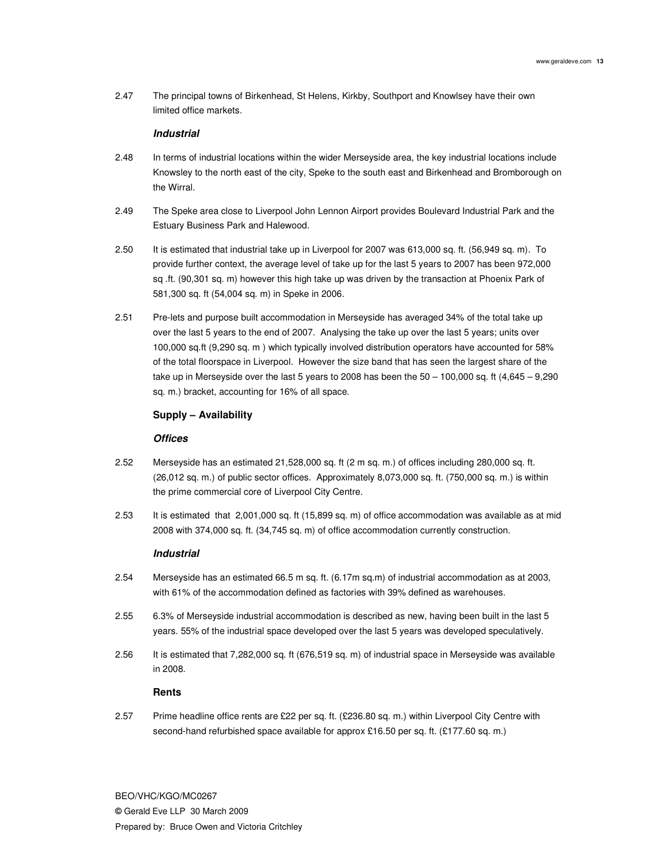2.47 The principal towns of Birkenhead, St Helens, Kirkby, Southport and Knowlsey have their own limited office markets.

## **Industrial**

- 2.48 In terms of industrial locations within the wider Merseyside area, the key industrial locations include Knowsley to the north east of the city, Speke to the south east and Birkenhead and Bromborough on the Wirral.
- 2.49 The Speke area close to Liverpool John Lennon Airport provides Boulevard Industrial Park and the Estuary Business Park and Halewood.
- 2.50 It is estimated that industrial take up in Liverpool for 2007 was 613,000 sq. ft. (56,949 sq. m). To provide further context, the average level of take up for the last 5 years to 2007 has been 972,000 sq .ft. (90,301 sq. m) however this high take up was driven by the transaction at Phoenix Park of 581,300 sq. ft (54,004 sq. m) in Speke in 2006.
- 2.51 Pre-lets and purpose built accommodation in Merseyside has averaged 34% of the total take up over the last 5 years to the end of 2007. Analysing the take up over the last 5 years; units over 100,000 sq.ft (9,290 sq. m ) which typically involved distribution operators have accounted for 58% of the total floorspace in Liverpool. However the size band that has seen the largest share of the take up in Merseyside over the last 5 years to 2008 has been the 50 – 100,000 sq. ft (4,645 – 9,290 sq. m.) bracket, accounting for 16% of all space.

## **Supply – Availability**

## **Offices**

- 2.52 Merseyside has an estimated 21,528,000 sq. ft (2 m sq. m.) of offices including 280,000 sq. ft. (26,012 sq. m.) of public sector offices. Approximately 8,073,000 sq. ft. (750,000 sq. m.) is within the prime commercial core of Liverpool City Centre.
- 2.53 It is estimated that 2,001,000 sq. ft (15,899 sq. m) of office accommodation was available as at mid 2008 with 374,000 sq. ft. (34,745 sq. m) of office accommodation currently construction.

#### **Industrial**

- 2.54 Merseyside has an estimated 66.5 m sq. ft. (6.17m sq.m) of industrial accommodation as at 2003, with 61% of the accommodation defined as factories with 39% defined as warehouses.
- 2.55 6.3% of Merseyside industrial accommodation is described as new, having been built in the last 5 years. 55% of the industrial space developed over the last 5 years was developed speculatively.
- 2.56 It is estimated that 7,282,000 sq. ft (676,519 sq. m) of industrial space in Merseyside was available in 2008.

#### **Rents**

2.57 Prime headline office rents are £22 per sq. ft. (£236.80 sq. m.) within Liverpool City Centre with second-hand refurbished space available for approx £16.50 per sq. ft. (£177.60 sq. m.)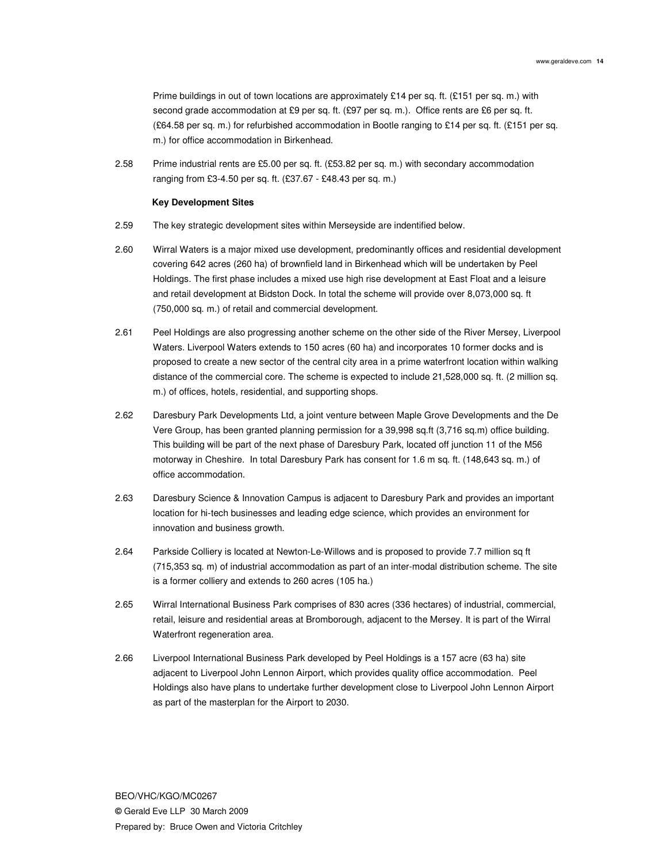Prime buildings in out of town locations are approximately £14 per sq. ft. (£151 per sq. m.) with second grade accommodation at £9 per sq. ft. (£97 per sq. m.). Office rents are £6 per sq. ft. (£64.58 per sq. m.) for refurbished accommodation in Bootle ranging to £14 per sq. ft. (£151 per sq. m.) for office accommodation in Birkenhead.

2.58 Prime industrial rents are £5.00 per sq. ft. (£53.82 per sq. m.) with secondary accommodation ranging from £3-4.50 per sq. ft. (£37.67 - £48.43 per sq. m.)

#### **Key Development Sites**

- 2.59 The key strategic development sites within Merseyside are indentified below.
- 2.60 Wirral Waters is a major mixed use development, predominantly offices and residential development covering 642 acres (260 ha) of brownfield land in Birkenhead which will be undertaken by Peel Holdings. The first phase includes a mixed use high rise development at East Float and a leisure and retail development at Bidston Dock. In total the scheme will provide over 8,073,000 sq. ft (750,000 sq. m.) of retail and commercial development.
- 2.61 Peel Holdings are also progressing another scheme on the other side of the River Mersey, Liverpool Waters. Liverpool Waters extends to 150 acres (60 ha) and incorporates 10 former docks and is proposed to create a new sector of the central city area in a prime waterfront location within walking distance of the commercial core. The scheme is expected to include 21,528,000 sq. ft. (2 million sq. m.) of offices, hotels, residential, and supporting shops.
- 2.62 Daresbury Park Developments Ltd, a joint venture between Maple Grove Developments and the De Vere Group, has been granted planning permission for a 39,998 sq.ft (3,716 sq.m) office building. This building will be part of the next phase of Daresbury Park, located off junction 11 of the M56 motorway in Cheshire. In total Daresbury Park has consent for 1.6 m sq. ft. (148,643 sq. m.) of office accommodation.
- 2.63 Daresbury Science & Innovation Campus is adjacent to Daresbury Park and provides an important location for hi-tech businesses and leading edge science, which provides an environment for innovation and business growth.
- 2.64 Parkside Colliery is located at Newton-Le-Willows and is proposed to provide 7.7 million sq ft (715,353 sq. m) of industrial accommodation as part of an inter-modal distribution scheme. The site is a former colliery and extends to 260 acres (105 ha.)
- 2.65 Wirral International Business Park comprises of 830 acres (336 hectares) of industrial, commercial, retail, leisure and residential areas at Bromborough, adjacent to the Mersey. It is part of the Wirral Waterfront regeneration area.
- 2.66 Liverpool International Business Park developed by Peel Holdings is a 157 acre (63 ha) site adjacent to Liverpool John Lennon Airport, which provides quality office accommodation. Peel Holdings also have plans to undertake further development close to Liverpool John Lennon Airport as part of the masterplan for the Airport to 2030.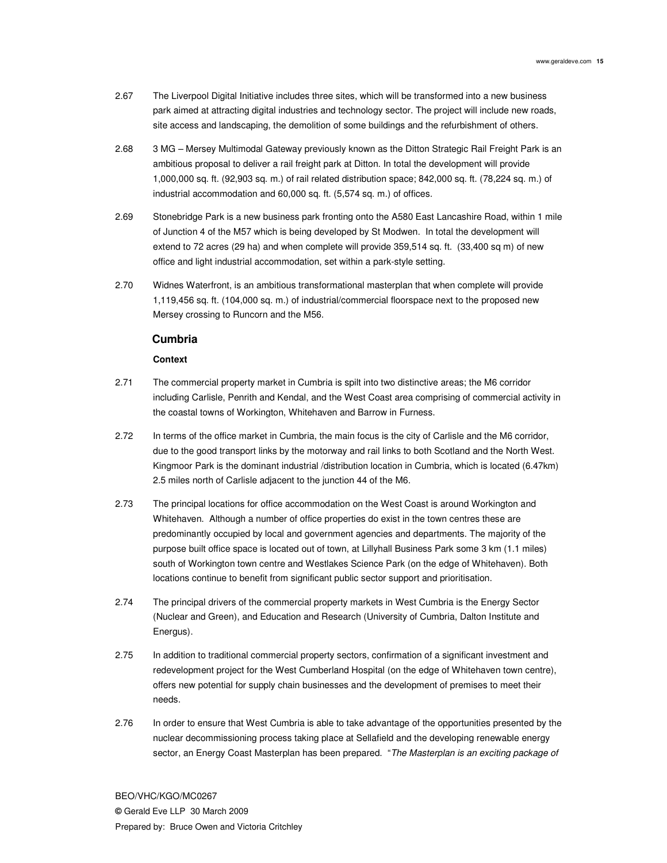- 2.67 The Liverpool Digital Initiative includes three sites, which will be transformed into a new business park aimed at attracting digital industries and technology sector. The project will include new roads, site access and landscaping, the demolition of some buildings and the refurbishment of others.
- 2.68 3 MG Mersey Multimodal Gateway previously known as the Ditton Strategic Rail Freight Park is an ambitious proposal to deliver a rail freight park at Ditton. In total the development will provide 1,000,000 sq. ft. (92,903 sq. m.) of rail related distribution space; 842,000 sq. ft. (78,224 sq. m.) of industrial accommodation and 60,000 sq. ft. (5,574 sq. m.) of offices.
- 2.69 Stonebridge Park is a new business park fronting onto the A580 East Lancashire Road, within 1 mile of Junction 4 of the M57 which is being developed by St Modwen. In total the development will extend to 72 acres (29 ha) and when complete will provide 359,514 sq. ft. (33,400 sq m) of new office and light industrial accommodation, set within a park-style setting.
- 2.70 Widnes Waterfront, is an ambitious transformational masterplan that when complete will provide 1,119,456 sq. ft. (104,000 sq. m.) of industrial/commercial floorspace next to the proposed new Mersey crossing to Runcorn and the M56.

## **Cumbria**

## **Context**

- 2.71 The commercial property market in Cumbria is spilt into two distinctive areas; the M6 corridor including Carlisle, Penrith and Kendal, and the West Coast area comprising of commercial activity in the coastal towns of Workington, Whitehaven and Barrow in Furness.
- 2.72 In terms of the office market in Cumbria, the main focus is the city of Carlisle and the M6 corridor, due to the good transport links by the motorway and rail links to both Scotland and the North West. Kingmoor Park is the dominant industrial /distribution location in Cumbria, which is located (6.47km) 2.5 miles north of Carlisle adjacent to the junction 44 of the M6.
- 2.73 The principal locations for office accommodation on the West Coast is around Workington and Whitehaven. Although a number of office properties do exist in the town centres these are predominantly occupied by local and government agencies and departments. The majority of the purpose built office space is located out of town, at Lillyhall Business Park some 3 km (1.1 miles) south of Workington town centre and Westlakes Science Park (on the edge of Whitehaven). Both locations continue to benefit from significant public sector support and prioritisation.
- 2.74 The principal drivers of the commercial property markets in West Cumbria is the Energy Sector (Nuclear and Green), and Education and Research (University of Cumbria, Dalton Institute and Energus).
- 2.75 In addition to traditional commercial property sectors, confirmation of a significant investment and redevelopment project for the West Cumberland Hospital (on the edge of Whitehaven town centre), offers new potential for supply chain businesses and the development of premises to meet their needs.
- 2.76 In order to ensure that West Cumbria is able to take advantage of the opportunities presented by the nuclear decommissioning process taking place at Sellafield and the developing renewable energy sector, an Energy Coast Masterplan has been prepared. "The Masterplan is an exciting package of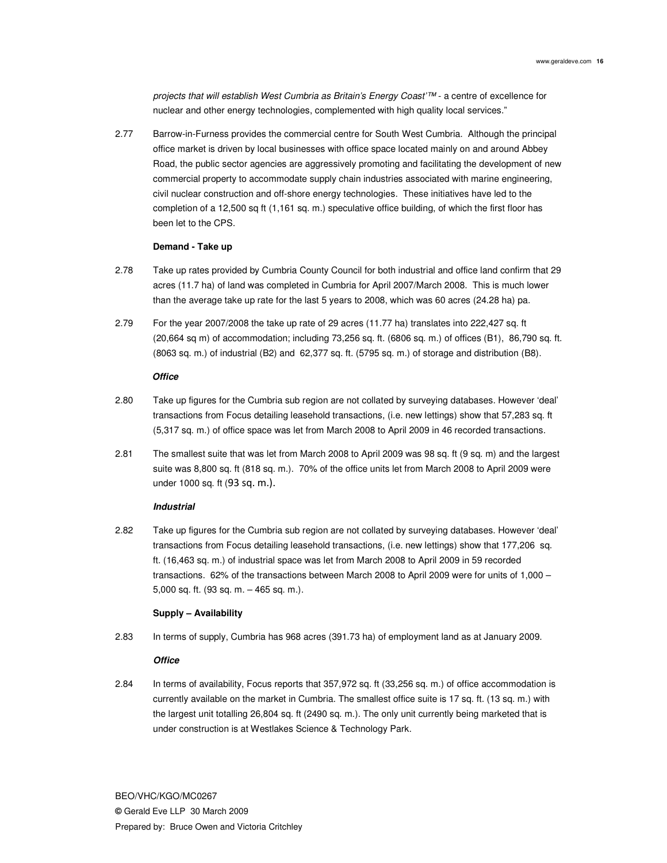projects that will establish West Cumbria as Britain's Energy Coast'™ - a centre of excellence for nuclear and other energy technologies, complemented with high quality local services."

2.77 Barrow-in-Furness provides the commercial centre for South West Cumbria. Although the principal office market is driven by local businesses with office space located mainly on and around Abbey Road, the public sector agencies are aggressively promoting and facilitating the development of new commercial property to accommodate supply chain industries associated with marine engineering, civil nuclear construction and off-shore energy technologies. These initiatives have led to the completion of a 12,500 sq ft (1,161 sq. m.) speculative office building, of which the first floor has been let to the CPS.

### **Demand - Take up**

- 2.78 Take up rates provided by Cumbria County Council for both industrial and office land confirm that 29 acres (11.7 ha) of land was completed in Cumbria for April 2007/March 2008. This is much lower than the average take up rate for the last 5 years to 2008, which was 60 acres (24.28 ha) pa.
- 2.79 For the year 2007/2008 the take up rate of 29 acres (11.77 ha) translates into 222,427 sq. ft (20,664 sq m) of accommodation; including 73,256 sq. ft. (6806 sq. m.) of offices (B1), 86,790 sq. ft. (8063 sq. m.) of industrial (B2) and 62,377 sq. ft. (5795 sq. m.) of storage and distribution (B8).

#### **Office**

- 2.80 Take up figures for the Cumbria sub region are not collated by surveying databases. However 'deal' transactions from Focus detailing leasehold transactions, (i.e. new lettings) show that 57,283 sq. ft (5,317 sq. m.) of office space was let from March 2008 to April 2009 in 46 recorded transactions.
- 2.81 The smallest suite that was let from March 2008 to April 2009 was 98 sq. ft (9 sq. m) and the largest suite was 8,800 sq. ft (818 sq. m.). 70% of the office units let from March 2008 to April 2009 were under 1000 sq. ft (93 sq. m.).

#### **Industrial**

2.82 Take up figures for the Cumbria sub region are not collated by surveying databases. However 'deal' transactions from Focus detailing leasehold transactions, (i.e. new lettings) show that 177,206 sq. ft. (16,463 sq. m.) of industrial space was let from March 2008 to April 2009 in 59 recorded transactions. 62% of the transactions between March 2008 to April 2009 were for units of 1,000 – 5,000 sq. ft. (93 sq. m. – 465 sq. m.).

#### **Supply – Availability**

2.83 In terms of supply, Cumbria has 968 acres (391.73 ha) of employment land as at January 2009.

### **Office**

2.84 In terms of availability, Focus reports that 357,972 sq. ft (33,256 sq. m.) of office accommodation is currently available on the market in Cumbria. The smallest office suite is 17 sq. ft. (13 sq. m.) with the largest unit totalling 26,804 sq. ft (2490 sq. m.). The only unit currently being marketed that is under construction is at Westlakes Science & Technology Park.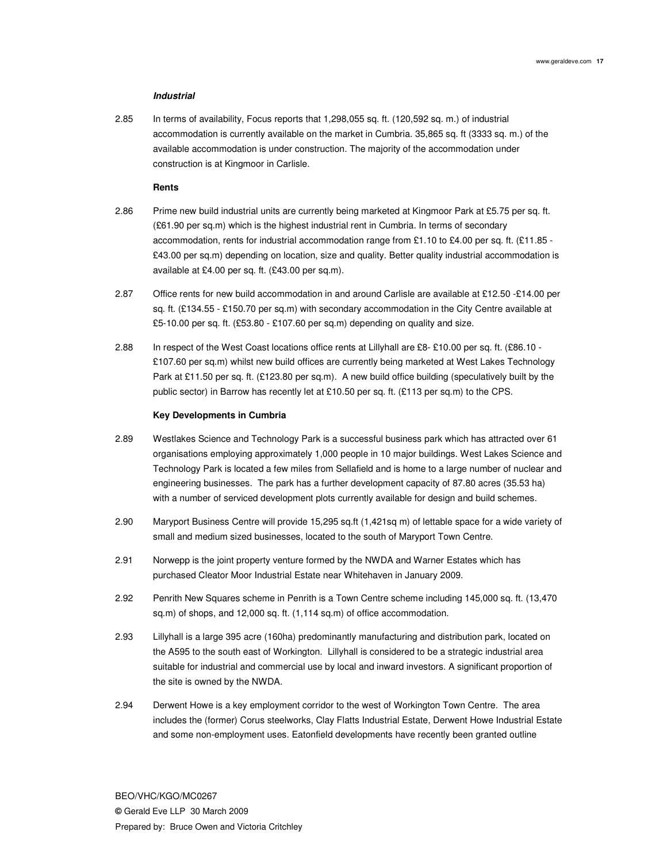### **Industrial**

2.85 In terms of availability, Focus reports that 1,298,055 sq. ft. (120,592 sq. m.) of industrial accommodation is currently available on the market in Cumbria. 35,865 sq. ft (3333 sq. m.) of the available accommodation is under construction. The majority of the accommodation under construction is at Kingmoor in Carlisle.

#### **Rents**

- 2.86 Prime new build industrial units are currently being marketed at Kingmoor Park at £5.75 per sq. ft. (£61.90 per sq.m) which is the highest industrial rent in Cumbria. In terms of secondary accommodation, rents for industrial accommodation range from £1.10 to £4.00 per sq. ft. (£11.85 - £43.00 per sq.m) depending on location, size and quality. Better quality industrial accommodation is available at £4.00 per sq. ft. (£43.00 per sq.m).
- 2.87 Office rents for new build accommodation in and around Carlisle are available at £12.50 -£14.00 per sq. ft. (£134.55 - £150.70 per sq.m) with secondary accommodation in the City Centre available at £5-10.00 per sq. ft. (£53.80 - £107.60 per sq.m) depending on quality and size.
- 2.88 In respect of the West Coast locations office rents at Lillyhall are £8- £10.00 per sq. ft. (£86.10 £107.60 per sq.m) whilst new build offices are currently being marketed at West Lakes Technology Park at £11.50 per sq. ft. (£123.80 per sq.m). A new build office building (speculatively built by the public sector) in Barrow has recently let at £10.50 per sq. ft. (£113 per sq.m) to the CPS.

#### **Key Developments in Cumbria**

- 2.89 Westlakes Science and Technology Park is a successful business park which has attracted over 61 organisations employing approximately 1,000 people in 10 major buildings. West Lakes Science and Technology Park is located a few miles from Sellafield and is home to a large number of nuclear and engineering businesses. The park has a further development capacity of 87.80 acres (35.53 ha) with a number of serviced development plots currently available for design and build schemes.
- 2.90 Maryport Business Centre will provide 15,295 sq.ft (1,421sq m) of lettable space for a wide variety of small and medium sized businesses, located to the south of Maryport Town Centre.
- 2.91 Norwepp is the joint property venture formed by the NWDA and Warner Estates which has purchased Cleator Moor Industrial Estate near Whitehaven in January 2009.
- 2.92 Penrith New Squares scheme in Penrith is a Town Centre scheme including 145,000 sq. ft. (13,470 sq.m) of shops, and 12,000 sq. ft. (1,114 sq.m) of office accommodation.
- 2.93 Lillyhall is a large 395 acre (160ha) predominantly manufacturing and distribution park, located on the A595 to the south east of Workington. Lillyhall is considered to be a strategic industrial area suitable for industrial and commercial use by local and inward investors. A significant proportion of the site is owned by the NWDA.
- 2.94 Derwent Howe is a key employment corridor to the west of Workington Town Centre. The area includes the (former) Corus steelworks, Clay Flatts Industrial Estate, Derwent Howe Industrial Estate and some non-employment uses. Eatonfield developments have recently been granted outline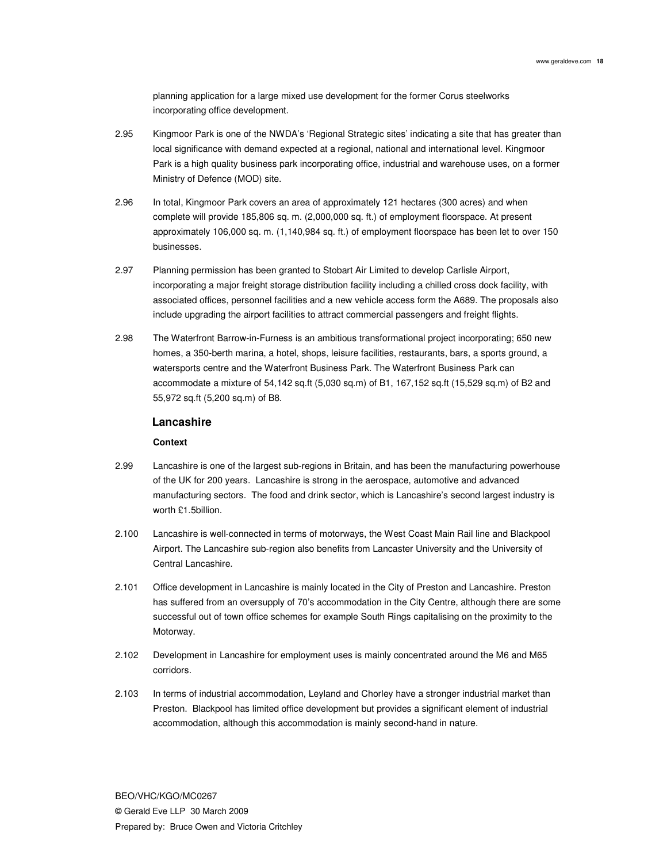planning application for a large mixed use development for the former Corus steelworks incorporating office development.

- 2.95 Kingmoor Park is one of the NWDA's 'Regional Strategic sites' indicating a site that has greater than local significance with demand expected at a regional, national and international level. Kingmoor Park is a high quality business park incorporating office, industrial and warehouse uses, on a former Ministry of Defence (MOD) site.
- 2.96 In total, Kingmoor Park covers an area of approximately 121 hectares (300 acres) and when complete will provide 185,806 sq. m. (2,000,000 sq. ft.) of employment floorspace. At present approximately 106,000 sq. m. (1,140,984 sq. ft.) of employment floorspace has been let to over 150 businesses.
- 2.97 Planning permission has been granted to Stobart Air Limited to develop Carlisle Airport, incorporating a major freight storage distribution facility including a chilled cross dock facility, with associated offices, personnel facilities and a new vehicle access form the A689. The proposals also include upgrading the airport facilities to attract commercial passengers and freight flights.
- 2.98 The Waterfront Barrow-in-Furness is an ambitious transformational project incorporating; 650 new homes, a 350-berth marina, a hotel, shops, leisure facilities, restaurants, bars, a sports ground, a watersports centre and the Waterfront Business Park. The Waterfront Business Park can accommodate a mixture of 54,142 sq.ft (5,030 sq.m) of B1, 167,152 sq.ft (15,529 sq.m) of B2 and 55,972 sq.ft (5,200 sq.m) of B8.

## **Lancashire**

## **Context**

- 2.99 Lancashire is one of the largest sub-regions in Britain, and has been the manufacturing powerhouse of the UK for 200 years. Lancashire is strong in the aerospace, automotive and advanced manufacturing sectors. The food and drink sector, which is Lancashire's second largest industry is worth £1.5billion.
- 2.100 Lancashire is well-connected in terms of motorways, the West Coast Main Rail line and Blackpool Airport. The Lancashire sub-region also benefits from Lancaster University and the University of Central Lancashire.
- 2.101 Office development in Lancashire is mainly located in the City of Preston and Lancashire. Preston has suffered from an oversupply of 70's accommodation in the City Centre, although there are some successful out of town office schemes for example South Rings capitalising on the proximity to the Motorway.
- 2.102 Development in Lancashire for employment uses is mainly concentrated around the M6 and M65 corridors.
- 2.103 In terms of industrial accommodation, Leyland and Chorley have a stronger industrial market than Preston. Blackpool has limited office development but provides a significant element of industrial accommodation, although this accommodation is mainly second-hand in nature.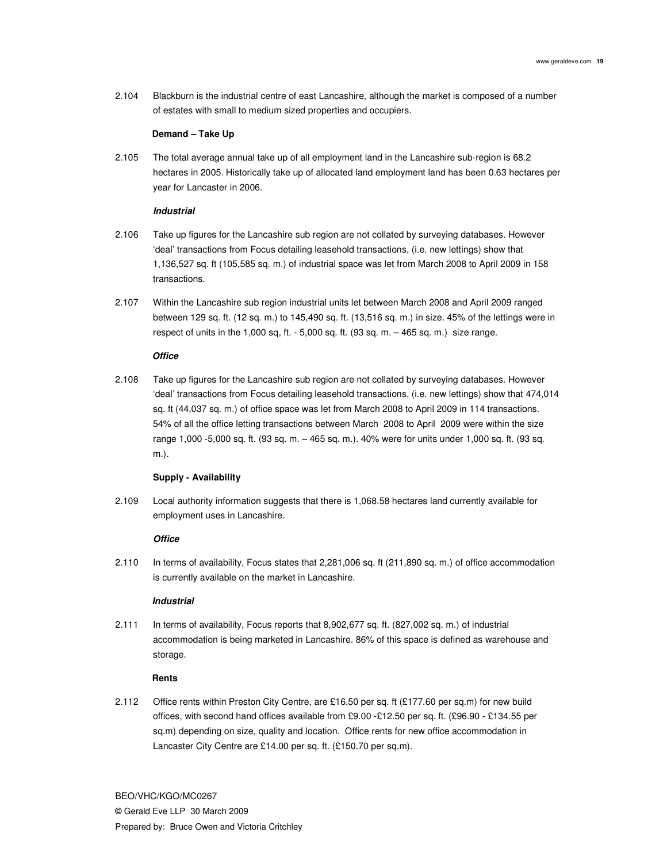2.104 Blackburn is the industrial centre of east Lancashire, although the market is composed of a number of estates with small to medium sized properties and occupiers.

#### **Demand – Take Up**

2.105 The total average annual take up of all employment land in the Lancashire sub-region is 68.2 hectares in 2005. Historically take up of allocated land employment land has been 0.63 hectares per year for Lancaster in 2006.

## **Industrial**

- 2.106 Take up figures for the Lancashire sub region are not collated by surveying databases. However 'deal' transactions from Focus detailing leasehold transactions, (i.e. new lettings) show that 1,136,527 sq. ft (105,585 sq. m.) of industrial space was let from March 2008 to April 2009 in 158 transactions.
- 2.107 Within the Lancashire sub region industrial units let between March 2008 and April 2009 ranged between 129 sq. ft. (12 sq. m.) to 145,490 sq. ft. (13,516 sq. m.) in size. 45% of the lettings were in respect of units in the 1,000 sq, ft. - 5,000 sq. ft. (93 sq. m. – 465 sq. m.) size range.

## **Office**

2.108 Take up figures for the Lancashire sub region are not collated by surveying databases. However 'deal' transactions from Focus detailing leasehold transactions, (i.e. new lettings) show that 474,014 sq. ft (44,037 sq. m.) of office space was let from March 2008 to April 2009 in 114 transactions. 54% of all the office letting transactions between March 2008 to April 2009 were within the size range 1,000 -5,000 sq. ft. (93 sq. m. – 465 sq. m.). 40% were for units under 1,000 sq. ft. (93 sq. m.).

### **Supply - Availability**

2.109 Local authority information suggests that there is 1,068.58 hectares land currently available for employment uses in Lancashire.

## **Office**

2.110 In terms of availability, Focus states that 2,281,006 sq. ft (211,890 sq. m.) of office accommodation is currently available on the market in Lancashire.

#### **Industrial**

2.111 In terms of availability, Focus reports that 8,902,677 sq. ft. (827,002 sq. m.) of industrial accommodation is being marketed in Lancashire. 86% of this space is defined as warehouse and storage.

#### **Rents**

2.112 Office rents within Preston City Centre, are £16.50 per sq. ft (£177.60 per sq.m) for new build offices, with second hand offices available from £9.00 -£12.50 per sq. ft. (£96.90 - £134.55 per sq.m) depending on size, quality and location. Office rents for new office accommodation in Lancaster City Centre are £14.00 per sq. ft. (£150.70 per sq.m).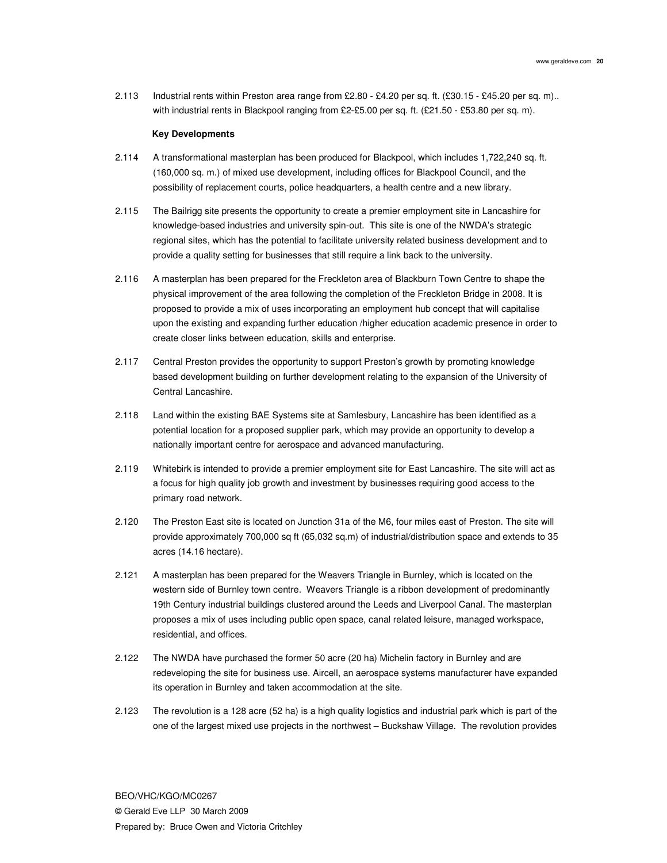2.113 Industrial rents within Preston area range from £2.80 - £4.20 per sq. ft. (£30.15 - £45.20 per sq. m).. with industrial rents in Blackpool ranging from £2-£5.00 per sq. ft. (£21.50 - £53.80 per sq. m).

#### **Key Developments**

- 2.114 A transformational masterplan has been produced for Blackpool, which includes 1,722,240 sq. ft. (160,000 sq. m.) of mixed use development, including offices for Blackpool Council, and the possibility of replacement courts, police headquarters, a health centre and a new library.
- 2.115 The Bailrigg site presents the opportunity to create a premier employment site in Lancashire for knowledge-based industries and university spin-out. This site is one of the NWDA's strategic regional sites, which has the potential to facilitate university related business development and to provide a quality setting for businesses that still require a link back to the university.
- 2.116 A masterplan has been prepared for the Freckleton area of Blackburn Town Centre to shape the physical improvement of the area following the completion of the Freckleton Bridge in 2008. It is proposed to provide a mix of uses incorporating an employment hub concept that will capitalise upon the existing and expanding further education /higher education academic presence in order to create closer links between education, skills and enterprise.
- 2.117 Central Preston provides the opportunity to support Preston's growth by promoting knowledge based development building on further development relating to the expansion of the University of Central Lancashire.
- 2.118 Land within the existing BAE Systems site at Samlesbury, Lancashire has been identified as a potential location for a proposed supplier park, which may provide an opportunity to develop a nationally important centre for aerospace and advanced manufacturing.
- 2.119 Whitebirk is intended to provide a premier employment site for East Lancashire. The site will act as a focus for high quality job growth and investment by businesses requiring good access to the primary road network.
- 2.120 The Preston East site is located on Junction 31a of the M6, four miles east of Preston. The site will provide approximately 700,000 sq ft (65,032 sq.m) of industrial/distribution space and extends to 35 acres (14.16 hectare).
- 2.121 A masterplan has been prepared for the Weavers Triangle in Burnley, which is located on the western side of Burnley town centre. Weavers Triangle is a ribbon development of predominantly 19th Century industrial buildings clustered around the Leeds and Liverpool Canal. The masterplan proposes a mix of uses including public open space, canal related leisure, managed workspace, residential, and offices.
- 2.122 The NWDA have purchased the former 50 acre (20 ha) Michelin factory in Burnley and are redeveloping the site for business use. Aircell, an aerospace systems manufacturer have expanded its operation in Burnley and taken accommodation at the site.
- 2.123 The revolution is a 128 acre (52 ha) is a high quality logistics and industrial park which is part of the one of the largest mixed use projects in the northwest – Buckshaw Village. The revolution provides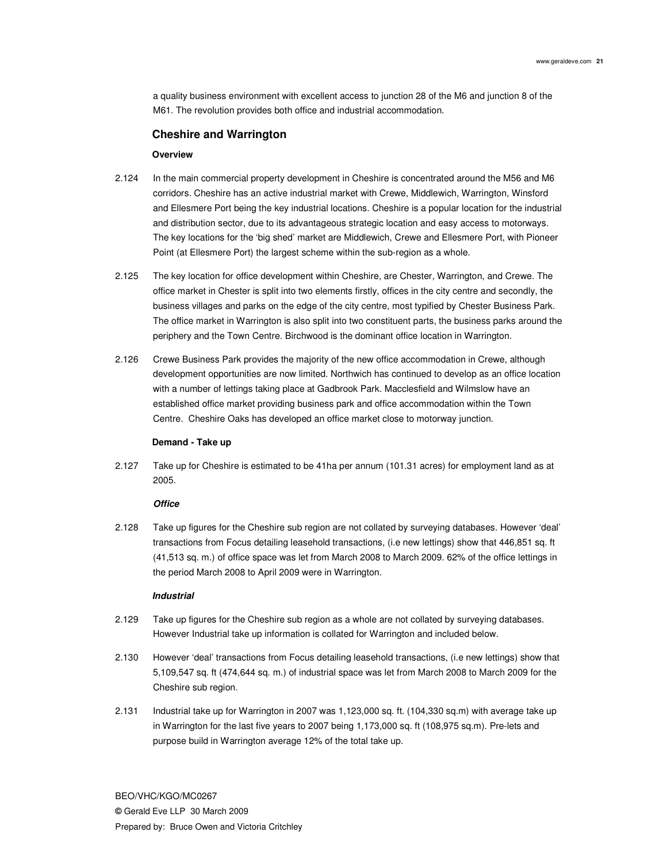a quality business environment with excellent access to junction 28 of the M6 and junction 8 of the M61. The revolution provides both office and industrial accommodation.

## **Cheshire and Warrington**

### **Overview**

- 2.124 In the main commercial property development in Cheshire is concentrated around the M56 and M6 corridors. Cheshire has an active industrial market with Crewe, Middlewich, Warrington, Winsford and Ellesmere Port being the key industrial locations. Cheshire is a popular location for the industrial and distribution sector, due to its advantageous strategic location and easy access to motorways. The key locations for the 'big shed' market are Middlewich, Crewe and Ellesmere Port, with Pioneer Point (at Ellesmere Port) the largest scheme within the sub-region as a whole.
- 2.125 The key location for office development within Cheshire, are Chester, Warrington, and Crewe. The office market in Chester is split into two elements firstly, offices in the city centre and secondly, the business villages and parks on the edge of the city centre, most typified by Chester Business Park. The office market in Warrington is also split into two constituent parts, the business parks around the periphery and the Town Centre. Birchwood is the dominant office location in Warrington.
- 2.126 Crewe Business Park provides the majority of the new office accommodation in Crewe, although development opportunities are now limited. Northwich has continued to develop as an office location with a number of lettings taking place at Gadbrook Park. Macclesfield and Wilmslow have an established office market providing business park and office accommodation within the Town Centre. Cheshire Oaks has developed an office market close to motorway junction.

#### **Demand - Take up**

2.127 Take up for Cheshire is estimated to be 41ha per annum (101.31 acres) for employment land as at 2005.

#### **Office**

2.128 Take up figures for the Cheshire sub region are not collated by surveying databases. However 'deal' transactions from Focus detailing leasehold transactions, (i.e new lettings) show that 446,851 sq. ft (41,513 sq. m.) of office space was let from March 2008 to March 2009. 62% of the office lettings in the period March 2008 to April 2009 were in Warrington.

#### **Industrial**

- 2.129 Take up figures for the Cheshire sub region as a whole are not collated by surveying databases. However Industrial take up information is collated for Warrington and included below.
- 2.130 However 'deal' transactions from Focus detailing leasehold transactions, (i.e new lettings) show that 5,109,547 sq. ft (474,644 sq. m.) of industrial space was let from March 2008 to March 2009 for the Cheshire sub region.
- 2.131 Industrial take up for Warrington in 2007 was 1,123,000 sq. ft. (104,330 sq.m) with average take up in Warrington for the last five years to 2007 being 1,173,000 sq. ft (108,975 sq.m). Pre-lets and purpose build in Warrington average 12% of the total take up.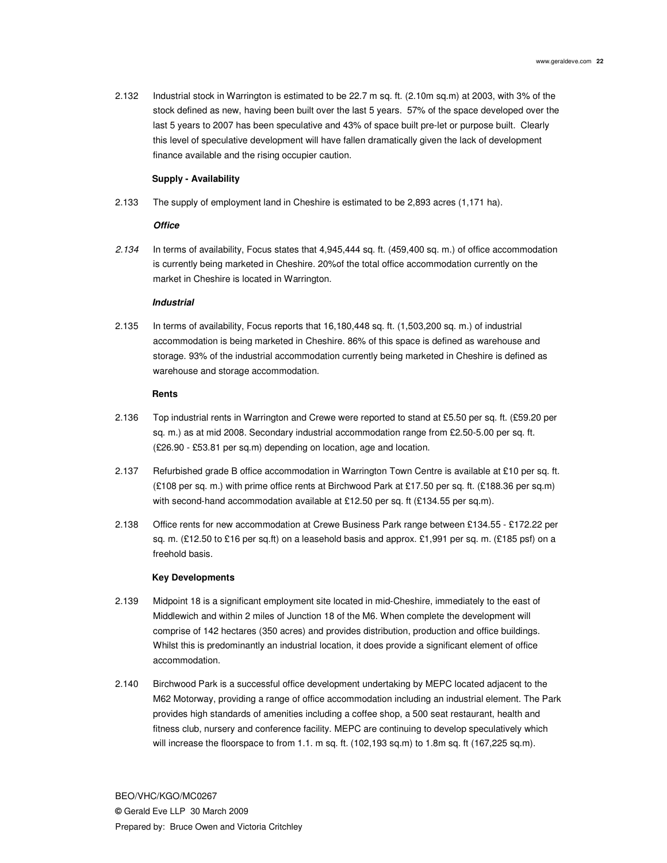2.132 Industrial stock in Warrington is estimated to be 22.7 m sq. ft. (2.10m sq.m) at 2003, with 3% of the stock defined as new, having been built over the last 5 years. 57% of the space developed over the last 5 years to 2007 has been speculative and 43% of space built pre-let or purpose built. Clearly this level of speculative development will have fallen dramatically given the lack of development finance available and the rising occupier caution.

### **Supply - Availability**

2.133 The supply of employment land in Cheshire is estimated to be 2,893 acres (1,171 ha).

#### **Office**

2.134 In terms of availability, Focus states that 4,945,444 sq. ft. (459,400 sq. m.) of office accommodation is currently being marketed in Cheshire. 20%of the total office accommodation currently on the market in Cheshire is located in Warrington.

#### **Industrial**

2.135 In terms of availability, Focus reports that 16,180,448 sq. ft. (1,503,200 sq. m.) of industrial accommodation is being marketed in Cheshire. 86% of this space is defined as warehouse and storage. 93% of the industrial accommodation currently being marketed in Cheshire is defined as warehouse and storage accommodation.

## **Rents**

- 2.136 Top industrial rents in Warrington and Crewe were reported to stand at £5.50 per sq. ft. (£59.20 per sq. m.) as at mid 2008. Secondary industrial accommodation range from £2.50-5.00 per sq. ft. (£26.90 - £53.81 per sq.m) depending on location, age and location.
- 2.137 Refurbished grade B office accommodation in Warrington Town Centre is available at £10 per sq. ft. (£108 per sq. m.) with prime office rents at Birchwood Park at £17.50 per sq. ft. (£188.36 per sq.m) with second-hand accommodation available at £12.50 per sq. ft (£134.55 per sq.m).
- 2.138 Office rents for new accommodation at Crewe Business Park range between £134.55 £172.22 per sq. m. (£12.50 to £16 per sq.ft) on a leasehold basis and approx. £1,991 per sq. m. (£185 psf) on a freehold basis.

#### **Key Developments**

- 2.139 Midpoint 18 is a significant employment site located in mid-Cheshire, immediately to the east of Middlewich and within 2 miles of Junction 18 of the M6. When complete the development will comprise of 142 hectares (350 acres) and provides distribution, production and office buildings. Whilst this is predominantly an industrial location, it does provide a significant element of office accommodation.
- 2.140 Birchwood Park is a successful office development undertaking by MEPC located adjacent to the M62 Motorway, providing a range of office accommodation including an industrial element. The Park provides high standards of amenities including a coffee shop, a 500 seat restaurant, health and fitness club, nursery and conference facility. MEPC are continuing to develop speculatively which will increase the floorspace to from 1.1. m sq. ft. (102,193 sq.m) to 1.8m sq. ft (167,225 sq.m).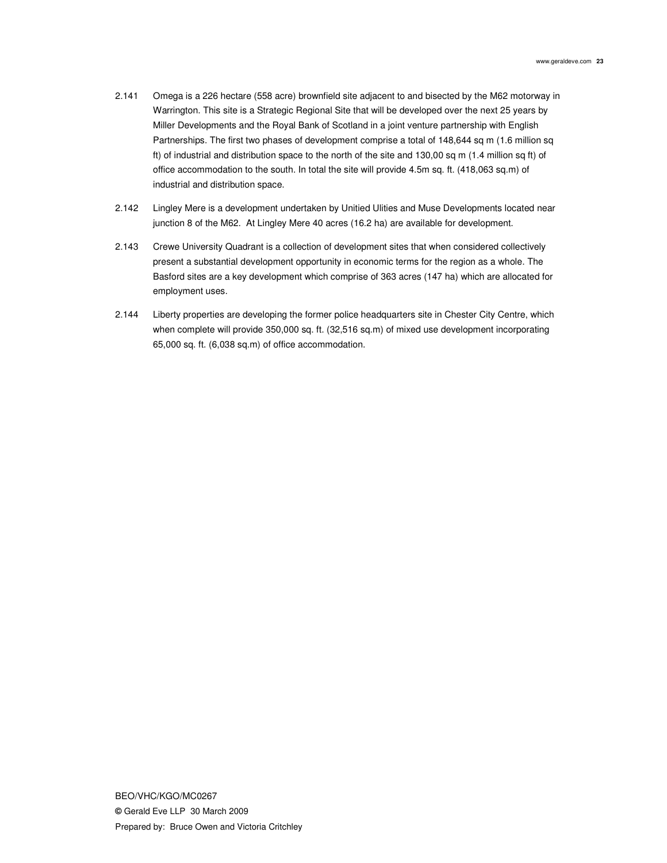- 2.141 Omega is a 226 hectare (558 acre) brownfield site adjacent to and bisected by the M62 motorway in Warrington. This site is a Strategic Regional Site that will be developed over the next 25 years by Miller Developments and the Royal Bank of Scotland in a joint venture partnership with English Partnerships. The first two phases of development comprise a total of 148,644 sq m (1.6 million sq ft) of industrial and distribution space to the north of the site and 130,00 sq m (1.4 million sq ft) of office accommodation to the south. In total the site will provide 4.5m sq. ft. (418,063 sq.m) of industrial and distribution space.
- 2.142 Lingley Mere is a development undertaken by Unitied Ulities and Muse Developments located near junction 8 of the M62. At Lingley Mere 40 acres (16.2 ha) are available for development.
- 2.143 Crewe University Quadrant is a collection of development sites that when considered collectively present a substantial development opportunity in economic terms for the region as a whole. The Basford sites are a key development which comprise of 363 acres (147 ha) which are allocated for employment uses.
- 2.144 Liberty properties are developing the former police headquarters site in Chester City Centre, which when complete will provide 350,000 sq. ft. (32,516 sq.m) of mixed use development incorporating 65,000 sq. ft. (6,038 sq.m) of office accommodation.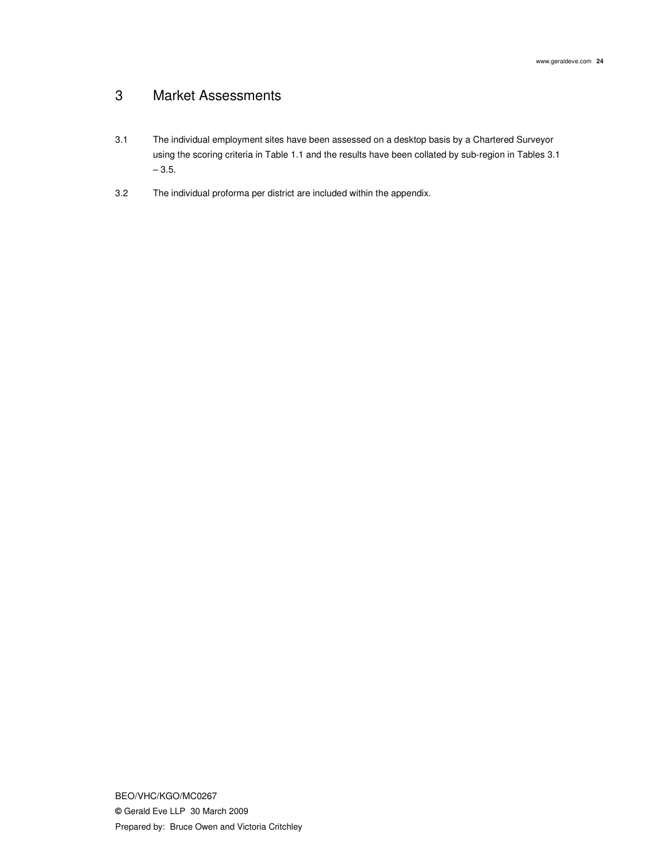## 3 Market Assessments

- 3.1 The individual employment sites have been assessed on a desktop basis by a Chartered Surveyor using the scoring criteria in Table 1.1 and the results have been collated by sub-region in Tables 3.1  $-3.5.$
- 3.2 The individual proforma per district are included within the appendix.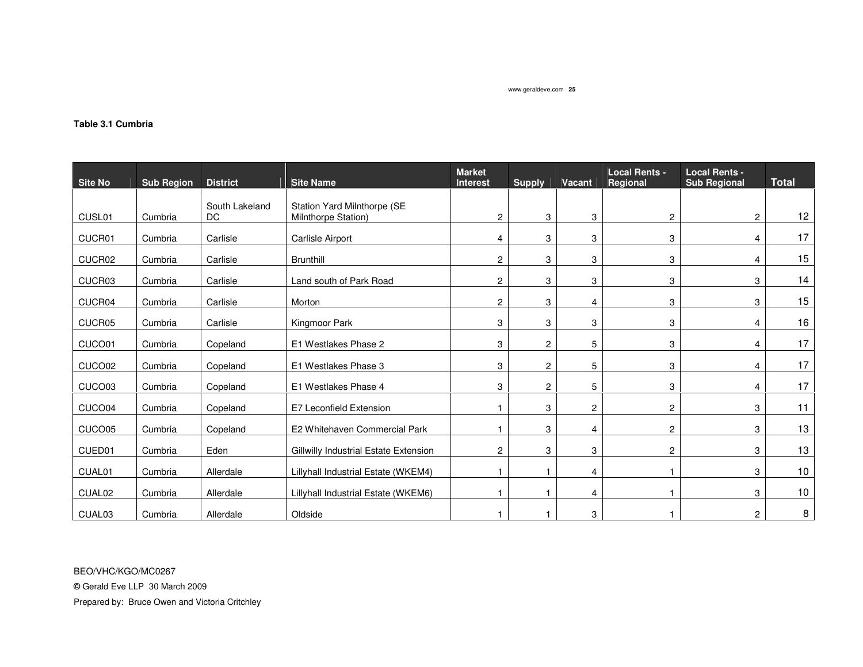## **Table 3.1 Cumbria**

| <b>Site No</b>     | <b>Sub Region</b> | <b>District</b>             | <b>Site Name</b>                                   | <b>Market</b><br><b>Interest</b> | <b>Supply</b>  | Vacant                  | <b>Local Rents -</b><br>Regional | <b>Local Rents -</b><br><b>Sub Regional</b> | <b>Total</b>      |
|--------------------|-------------------|-----------------------------|----------------------------------------------------|----------------------------------|----------------|-------------------------|----------------------------------|---------------------------------------------|-------------------|
| CUSL <sub>01</sub> | Cumbria           | South Lakeland<br><b>DC</b> | Station Yard Milnthorpe (SE<br>Milnthorpe Station) | 2                                | 3              | 3                       | $\overline{c}$                   | $\overline{2}$                              | $12 \overline{ }$ |
| CUCR01             | Cumbria           | Carlisle                    | Carlisle Airport                                   | 4                                | 3              | 3                       | 3                                | 4                                           | 17                |
| CUCR02             | Cumbria           | Carlisle                    | <b>Brunthill</b>                                   | $\overline{c}$                   | 3              | 3                       | 3                                | 4                                           | 15                |
| CUCR03             | Cumbria           | Carlisle                    | Land south of Park Road                            | 2                                | 3              | 3                       | 3                                | 3                                           | 14                |
| CUCR04             | Cumbria           | Carlisle                    | Morton                                             | $\overline{c}$                   | 3              | $\overline{4}$          | 3                                | 3                                           | 15                |
| CUCR05             | Cumbria           | Carlisle                    | Kingmoor Park                                      | 3                                | 3              | 3                       | 3                                | 4                                           | 16                |
| CUCO01             | Cumbria           | Copeland                    | E1 Westlakes Phase 2                               | 3                                | $\overline{2}$ | 5                       | 3                                | 4                                           | 17                |
| CUCO02             | Cumbria           | Copeland                    | E1 Westlakes Phase 3                               | 3                                | $\overline{2}$ | 5                       | 3                                | 4                                           | 17                |
| CUCO03             | Cumbria           | Copeland                    | E1 Westlakes Phase 4                               | 3                                | $\overline{c}$ | 5                       | 3                                | 4                                           | 17                |
| CUCO04             | Cumbria           | Copeland                    | E7 Leconfield Extension                            |                                  | 3              | $\overline{\mathbf{c}}$ | $\overline{c}$                   | 3                                           | 11                |
| CUCO05             | Cumbria           | Copeland                    | E2 Whitehaven Commercial Park                      |                                  | 3              | $\overline{4}$          | $\overline{c}$                   | 3                                           | 13                |
| CUED01             | Cumbria           | Eden                        | Gillwilly Industrial Estate Extension              | $\overline{c}$                   | 3              | 3                       | $\overline{c}$                   | 3                                           | 13                |
| CUAL01             | Cumbria           | Allerdale                   | Lillyhall Industrial Estate (WKEM4)                |                                  |                | $\overline{4}$          |                                  | 3                                           | 10                |
| CUAL <sub>02</sub> | Cumbria           | Allerdale                   | Lillyhall Industrial Estate (WKEM6)                |                                  |                | $\overline{4}$          |                                  | 3                                           | 10                |
| CUAL03             | Cumbria           | Allerdale                   | Oldside                                            |                                  |                | 3                       |                                  | 2                                           | 8                 |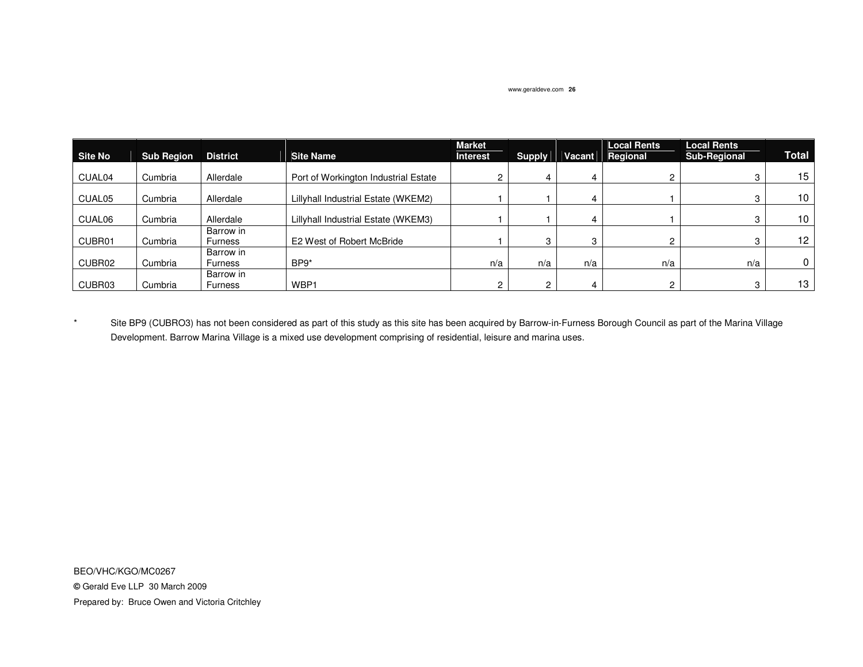| Site No            | <b>Sub Region</b> | <b>District</b>             | <b>Site Name</b>                     | <b>Market</b><br><b>Interest</b> | <b>Supply</b> | Vacant | <b>Local Rents</b><br>Regional | <b>Local Rents</b><br><b>Sub-Regional</b> | <b>Total</b> |
|--------------------|-------------------|-----------------------------|--------------------------------------|----------------------------------|---------------|--------|--------------------------------|-------------------------------------------|--------------|
|                    |                   |                             |                                      |                                  |               |        |                                |                                           |              |
| CUAL04             | Cumbria           | Allerdale                   | Port of Workington Industrial Estate |                                  |               |        |                                |                                           | 15           |
| CUAL <sub>05</sub> | Cumbria           | Allerdale                   | Lillyhall Industrial Estate (WKEM2)  |                                  |               |        |                                |                                           | 10           |
| CUAL06             | Cumbria           | Allerdale                   | Lillyhall Industrial Estate (WKEM3)  |                                  |               | 4      |                                |                                           | 10           |
| CUBR01             | Cumbria           | Barrow in<br>Furness        | E2 West of Robert McBride            |                                  | 3             | 3      |                                |                                           | 12           |
| CUBR02             | Cumbria           | Barrow in<br>Furness        | BP9*                                 | n/a                              | n/a           | n/a    | n/a                            | n/a                                       | 0            |
| CUBR03             | Cumbria           | Barrow in<br><b>Furness</b> | WBP1                                 |                                  | C             | 4      | 2                              |                                           | 13           |

\* Site BP9 (CUBRO3) has not been considered as part of this study as this site has been acquired by Barrow-in-Furness Borough Council as part of the Marina Village Development. Barrow Marina Village is a mixed use development comprising of residential, leisure and marina uses.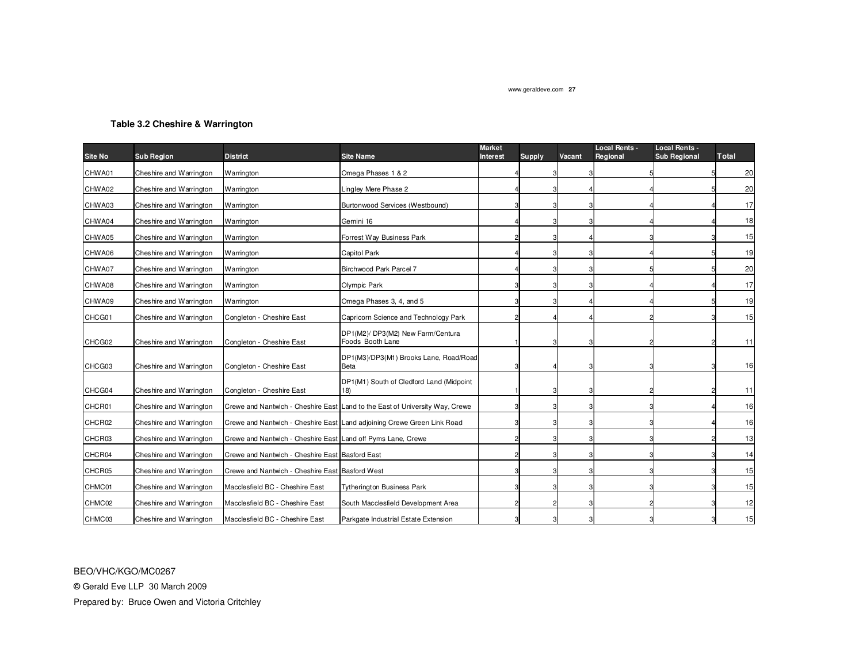## **Table 3.2 Cheshire & Warrington**

| <b>Site No</b> | <b>Sub Region</b>       | <b>District</b>                                              | <b>Site Name</b>                                                             | <b>Market</b><br><b>Interest</b> | Supply         | Vacant | <b>Local Rents -</b><br>Regional | Local Rents -<br><b>Sub Regional</b> | Total |
|----------------|-------------------------|--------------------------------------------------------------|------------------------------------------------------------------------------|----------------------------------|----------------|--------|----------------------------------|--------------------------------------|-------|
| CHWA01         | Cheshire and Warrington | Warrington                                                   | Omega Phases 1 & 2                                                           |                                  |                |        |                                  |                                      | 20    |
| CHWA02         | Cheshire and Warrington | Warrington                                                   | Lingley Mere Phase 2                                                         |                                  |                |        |                                  |                                      | 20    |
| CHWA03         | Cheshire and Warrington | Warrington                                                   | Burtonwood Services (Westbound)                                              |                                  | 3              |        |                                  |                                      | 17    |
| CHWA04         | Cheshire and Warrington | Warrington                                                   | Gemini 16                                                                    |                                  | З              |        |                                  |                                      | 18    |
| CHWA05         | Cheshire and Warrington | Warrington                                                   | Forrest Way Business Park                                                    |                                  | 3              |        |                                  |                                      | 15    |
| CHWA06         | Cheshire and Warrington | Warrington                                                   | Capitol Park                                                                 |                                  |                |        |                                  |                                      | 19    |
| CHWA07         | Cheshire and Warrington | Warrington                                                   | Birchwood Park Parcel 7                                                      |                                  | 3              | 3      |                                  |                                      | 20    |
| CHWA08         | Cheshire and Warrington | Warrington                                                   | Olympic Park                                                                 |                                  | 3              |        |                                  |                                      | 17    |
| CHWA09         | Cheshire and Warrington | Warrington                                                   | Omega Phases 3, 4, and 5                                                     |                                  | 3              |        |                                  |                                      | 19    |
| CHCG01         | Cheshire and Warrington | Congleton - Cheshire East                                    | Capricorn Science and Technology Park                                        |                                  |                |        |                                  |                                      | 15    |
| CHCG02         | Cheshire and Warrington | Congleton - Cheshire East                                    | DP1(M2)/ DP3(M2) New Farm/Centura<br>Foods Booth Lane                        |                                  |                |        |                                  |                                      | 11    |
| CHCG03         | Cheshire and Warrington | Congleton - Cheshire East                                    | DP1(M3)/DP3(M1) Brooks Lane, Road/Road<br>Beta                               |                                  |                |        |                                  |                                      | 16    |
| CHCG04         | Cheshire and Warrington | Congleton - Cheshire East                                    | DP1(M1) South of Cledford Land (Midpoint<br>18)                              |                                  | 3              |        |                                  |                                      | 11    |
| CHCR01         | Cheshire and Warrington |                                                              | Crewe and Nantwich - Cheshire East Land to the East of University Way, Crewe |                                  | 3              |        |                                  |                                      | 16    |
| CHCR02         | Cheshire and Warrington |                                                              | Crewe and Nantwich - Cheshire East Land adjoining Crewe Green Link Road      |                                  | 3              |        |                                  |                                      | 16    |
| CHCR03         | Cheshire and Warrington | Crewe and Nantwich - Cheshire East Land off Pyms Lane, Crewe |                                                                              |                                  | 3              |        |                                  |                                      | 13    |
| CHCR04         | Cheshire and Warrington | Crewe and Nantwich - Cheshire East Basford East              |                                                                              |                                  | 3              |        |                                  |                                      | 14    |
| CHCR05         | Cheshire and Warrington | Crewe and Nantwich - Cheshire East Basford West              |                                                                              |                                  | 3              |        |                                  |                                      | 15    |
| CHMC01         | Cheshire and Warrington | Macclesfield BC - Cheshire East                              | <b>Tytherington Business Park</b>                                            |                                  | 3              |        |                                  |                                      | 15    |
| CHMC02         | Cheshire and Warrington | Macclesfield BC - Cheshire East                              | South Macclesfield Development Area                                          |                                  | $\overline{2}$ | 3      |                                  |                                      | 12    |
| CHMC03         | Cheshire and Warrington | Macclesfield BC - Cheshire East                              | Parkgate Industrial Estate Extension                                         |                                  | 3              |        |                                  |                                      | 15    |

BEO/VHC/KGO/MC0267

**©** Gerald Eve LLP 30 March 2009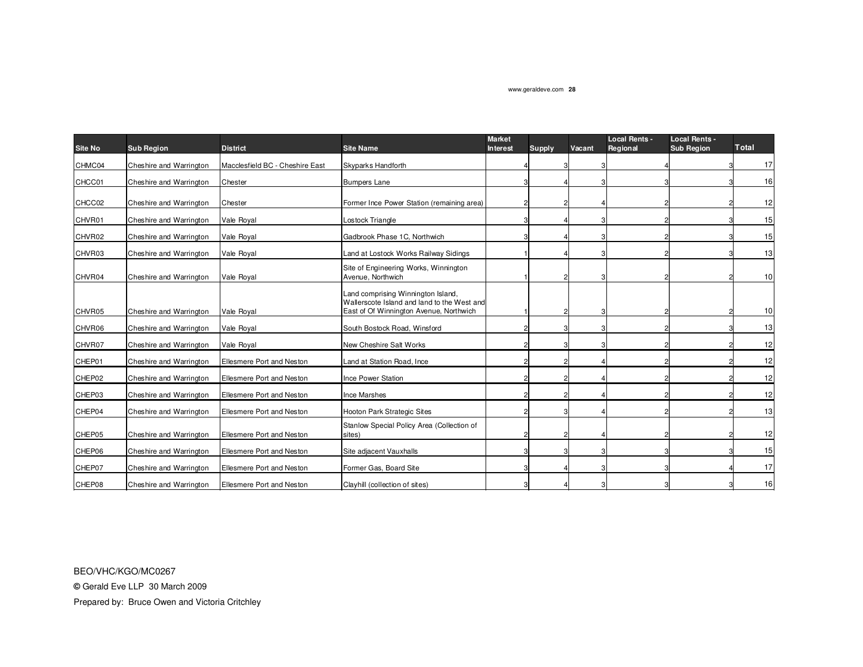| <b>Site No</b> | <b>Sub Region</b>       | <b>District</b>                 | <b>Site Name</b>                                                                                                             | <b>Market</b><br><b>Interest</b> | <b>Supply</b> | Vacant | <b>Local Rents -</b><br>Regional | <b>Local Rents -</b><br><b>Sub Region</b> | <b>Total</b>    |
|----------------|-------------------------|---------------------------------|------------------------------------------------------------------------------------------------------------------------------|----------------------------------|---------------|--------|----------------------------------|-------------------------------------------|-----------------|
| CHMC04         | Cheshire and Warrington | Macclesfield BC - Cheshire East | Skyparks Handforth                                                                                                           |                                  | 3             |        |                                  |                                           | 17              |
| CHCC01         | Cheshire and Warrington | Chester                         | <b>Bumpers Lane</b>                                                                                                          |                                  |               |        |                                  |                                           | 16              |
| CHCC02         | Cheshire and Warrington | Chester                         | Former Ince Power Station (remaining area)                                                                                   |                                  |               |        |                                  |                                           | 12              |
| CHVR01         | Cheshire and Warrington | Vale Royal                      | Lostock Triangle                                                                                                             |                                  |               |        |                                  |                                           | 15              |
| CHVR02         | Cheshire and Warrington | Vale Royal                      | Gadbrook Phase 1C, Northwich                                                                                                 |                                  |               |        |                                  |                                           | 15              |
| CHVR03         | Cheshire and Warrington | Vale Royal                      | Land at Lostock Works Railway Sidings                                                                                        |                                  |               |        |                                  |                                           | 13              |
| CHVR04         | Cheshire and Warrington | Vale Royal                      | Site of Engineering Works, Winnington<br>Avenue, Northwich                                                                   |                                  |               |        |                                  |                                           | 10 <sup>1</sup> |
| CHVR05         | Cheshire and Warrington | Vale Royal                      | Land comprising Winnington Island,<br>Wallerscote Island and land to the West and<br>East of Of Winnington Avenue, Northwich |                                  | 2             |        |                                  |                                           | 10 <sup>1</sup> |
| CHVR06         | Cheshire and Warrington | Vale Royal                      | South Bostock Road, Winsford                                                                                                 |                                  |               |        |                                  |                                           | 13              |
| CHVR07         | Cheshire and Warrington | Vale Royal                      | New Cheshire Salt Works                                                                                                      |                                  |               |        |                                  |                                           | 12              |
| CHEP01         | Cheshire and Warrington | Ellesmere Port and Neston       | Land at Station Road, Ince                                                                                                   |                                  |               |        |                                  |                                           | 12              |
| CHEP02         | Cheshire and Warrington | Ellesmere Port and Neston       | Ince Power Station                                                                                                           |                                  |               |        |                                  |                                           | 12              |
| CHEP03         | Cheshire and Warrington | Ellesmere Port and Neston       | Ince Marshes                                                                                                                 |                                  |               |        |                                  |                                           | 12              |
| CHEP04         | Cheshire and Warrington | Ellesmere Port and Neston       | Hooton Park Strategic Sites                                                                                                  |                                  |               |        |                                  |                                           | 13              |
| CHEP05         | Cheshire and Warrington | Ellesmere Port and Neston       | Stanlow Special Policy Area (Collection of<br>sites)                                                                         |                                  |               |        |                                  |                                           | 12              |
| CHEP06         | Cheshire and Warrington | Ellesmere Port and Neston       | Site adjacent Vauxhalls                                                                                                      |                                  |               |        |                                  |                                           | 15              |
| CHEP07         | Cheshire and Warrington | Ellesmere Port and Neston       | Former Gas, Board Site                                                                                                       |                                  |               |        |                                  |                                           | 17              |
| CHEP08         | Cheshire and Warrington | Ellesmere Port and Neston       | Clayhill (collection of sites)                                                                                               |                                  |               |        |                                  |                                           | 16              |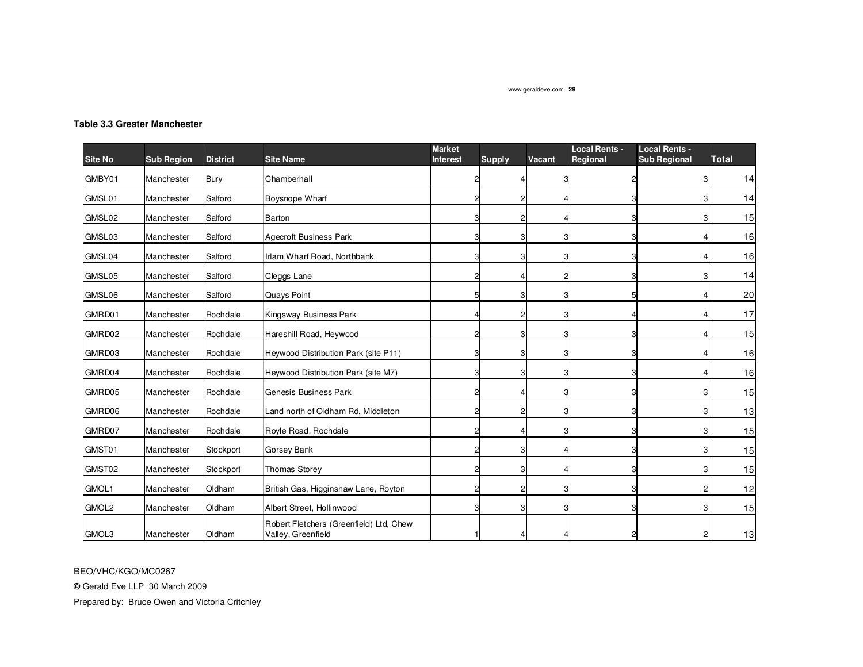## **Table 3.3 Greater Manchester**

|                |                   |                 |                                                               | <b>Market</b>   |               |                | <b>Local Rents -</b> | <b>Local Rents -</b> |              |
|----------------|-------------------|-----------------|---------------------------------------------------------------|-----------------|---------------|----------------|----------------------|----------------------|--------------|
| <b>Site No</b> | <b>Sub Region</b> | <b>District</b> | <b>Site Name</b>                                              | <b>Interest</b> | <b>Supply</b> | Vacant         | Regional             | <b>Sub Regional</b>  | <b>Total</b> |
| GMBY01         | Manchester        | Bury            | Chamberhall                                                   |                 |               | 3              |                      |                      | 14           |
| GMSL01         | Manchester        | Salford         | <b>Boysnope Wharf</b>                                         |                 |               |                |                      |                      | 14           |
| GMSL02         | Manchester        | Salford         | Barton                                                        |                 |               |                |                      |                      | 15           |
| GMSL03         | Manchester        | Salford         | <b>Agecroft Business Park</b>                                 |                 |               |                |                      |                      | 16           |
| GMSL04         | Manchester        | Salford         | Irlam Wharf Road, Northbank                                   |                 |               | 3              |                      |                      | 16           |
| GMSL05         | Manchester        | Salford         | Cleggs Lane                                                   |                 |               | 2              |                      |                      | 14           |
| GMSL06         | Manchester        | Salford         | Quays Point                                                   |                 |               | 3              |                      |                      | 20           |
| GMRD01         | Manchester        | Rochdale        | Kingsway Business Park                                        |                 |               | 3              |                      |                      | 17           |
| GMRD02         | Manchester        | Rochdale        | Hareshill Road, Heywood                                       |                 |               |                |                      |                      | 15           |
| GMRD03         | Manchester        | Rochdale        | Heywood Distribution Park (site P11)                          |                 |               | 3              |                      |                      | 16           |
| GMRD04         | Manchester        | Rochdale        | Heywood Distribution Park (site M7)                           |                 |               | 3              |                      |                      | 16           |
| GMRD05         | Manchester        | Rochdale        | Genesis Business Park                                         |                 |               | 3              |                      |                      | 15           |
| GMRD06         | Manchester        | Rochdale        | Land north of Oldham Rd, Middleton                            |                 |               | 3              |                      |                      | 13           |
| GMRD07         | Manchester        | Rochdale        | Royle Road, Rochdale                                          |                 |               | 3 <sup>1</sup> |                      |                      | 15           |
| GMST01         | Manchester        | Stockport       | Gorsey Bank                                                   |                 |               | Δ              |                      |                      | 15           |
| GMST02         | Manchester        | Stockport       | <b>Thomas Storey</b>                                          |                 |               |                |                      |                      | 15           |
| GMOL1          | Manchester        | Oldham          | British Gas, Higginshaw Lane, Royton                          |                 |               | 3              |                      |                      | 12           |
| GMOL2          | Manchester        | Oldham          | Albert Street, Hollinwood                                     |                 |               | 3              |                      |                      | 15           |
| GMOL3          | Manchester        | Oldham          | Robert Fletchers (Greenfield) Ltd, Chew<br>Valley, Greenfield |                 |               |                |                      |                      | 13           |

BEO/VHC/KGO/MC0267

**©** Gerald Eve LLP 30 March 2009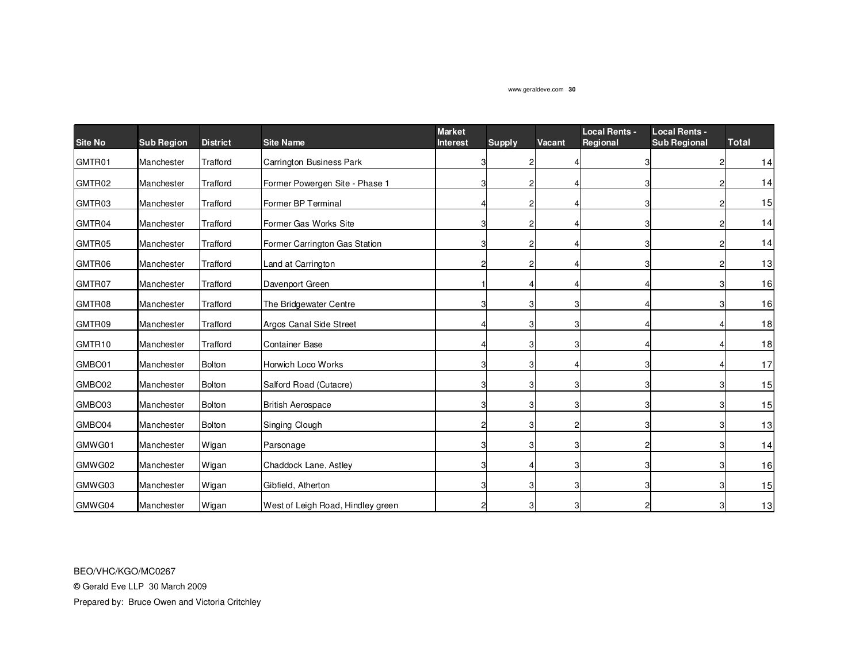| <b>Site No</b> |                   | <b>District</b> | <b>Site Name</b>                  | <b>Market</b><br><b>Interest</b> |                | Vacant         | <b>Local Rents -</b><br>Regional | <b>Local Rents -</b><br><b>Sub Regional</b> | <b>Total</b> |
|----------------|-------------------|-----------------|-----------------------------------|----------------------------------|----------------|----------------|----------------------------------|---------------------------------------------|--------------|
|                | <b>Sub Region</b> |                 |                                   |                                  | <b>Supply</b>  |                |                                  |                                             |              |
| GMTR01         | Manchester        | Trafford        | <b>Carrington Business Park</b>   |                                  | 2              |                |                                  |                                             | 14           |
| GMTR02         | Manchester        | <b>Trafford</b> | Former Powergen Site - Phase 1    |                                  | $\overline{c}$ | 4              |                                  |                                             | 14           |
| GMTR03         | Manchester        | <b>Trafford</b> | Former BP Terminal                |                                  | 2              | 4              |                                  |                                             | 15           |
| GMTR04         | Manchester        | Trafford        | Former Gas Works Site             |                                  | $\overline{c}$ | 4              |                                  |                                             | 14           |
| GMTR05         | Manchester        | <b>Trafford</b> | Former Carrington Gas Station     |                                  | 2              | 4              |                                  |                                             | 14           |
| GMTR06         | Manchester        | <b>Trafford</b> | Land at Carrington                |                                  | $\overline{c}$ | 4              |                                  |                                             | 13           |
| GMTR07         | Manchester        | Trafford        | Davenport Green                   |                                  | Δ              | 4              |                                  |                                             | 16           |
| GMTR08         | Manchester        | Trafford        | The Bridgewater Centre            |                                  | З              | 3              |                                  |                                             | 16           |
| GMTR09         | Manchester        | <b>Trafford</b> | Argos Canal Side Street           |                                  | З              | 3              |                                  |                                             | 18           |
| GMTR10         | Manchester        | Trafford        | <b>Container Base</b>             |                                  | 3              | 3              |                                  |                                             | 18           |
| GMBO01         | Manchester        | Bolton          | Horwich Loco Works                |                                  | 3              | 4              |                                  |                                             | 17           |
| GMBO02         | Manchester        | <b>Bolton</b>   | Salford Road (Cutacre)            |                                  | 3              | 3              |                                  |                                             | 15           |
| GMBO03         | Manchester        | Bolton          | <b>British Aerospace</b>          |                                  | 3              | 3              |                                  |                                             | 15           |
| GMBO04         | Manchester        | Bolton          | Singing Clough                    |                                  | 3              | $\overline{c}$ |                                  |                                             | 13           |
| GMWG01         | Manchester        | Wigan           | Parsonage                         |                                  | 3              | 3              |                                  |                                             | 14           |
| GMWG02         | Manchester        | Wigan           | Chaddock Lane, Astley             |                                  | Δ              | 3              |                                  |                                             | 16           |
| GMWG03         | Manchester        | Wigan           | Gibfield, Atherton                |                                  | 3              | 3              |                                  |                                             | 15           |
| GMWG04         | Manchester        | Wigan           | West of Leigh Road, Hindley green |                                  | З              | 3              |                                  |                                             | 13           |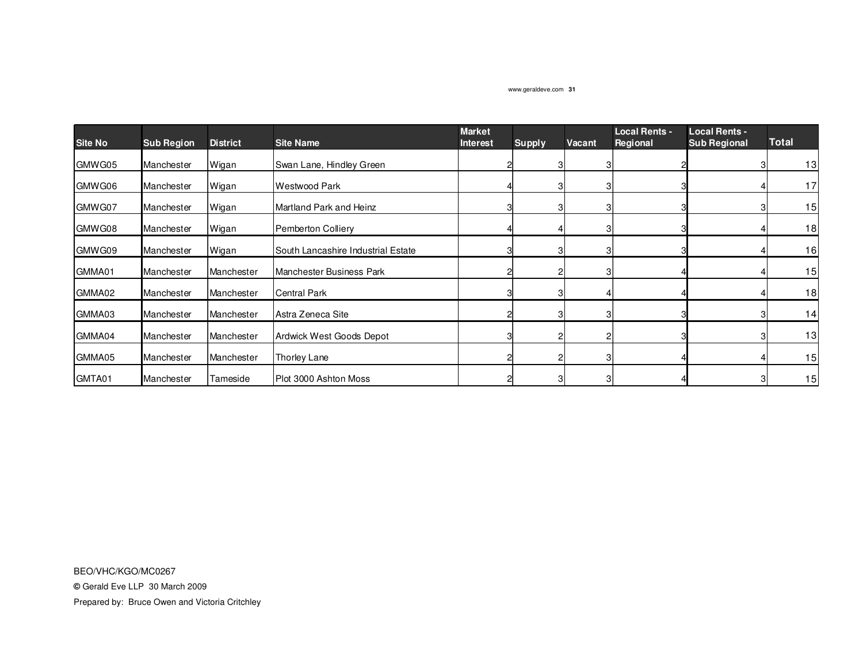| <b>Site No</b> | <b>Sub Region</b> | <b>District</b> | <b>Site Name</b>                   | <b>Market</b><br><b>Interest</b> | <b>Supply</b> | Vacant | <b>Local Rents -</b><br>Regional | <b>Local Rents -</b><br><b>Sub Regional</b> | <b>Total</b> |
|----------------|-------------------|-----------------|------------------------------------|----------------------------------|---------------|--------|----------------------------------|---------------------------------------------|--------------|
| GMWG05         | Manchester        | Wigan           | Swan Lane, Hindley Green           |                                  |               |        |                                  |                                             | 13           |
| GMWG06         | Manchester        | Wigan           | Westwood Park                      |                                  |               | З      |                                  |                                             | 17           |
| GMWG07         | Manchester        | Wigan           | Martland Park and Heinz            |                                  |               | 3      |                                  |                                             | 15           |
| GMWG08         | Manchester        | Wigan           | <b>Pemberton Colliery</b>          |                                  |               | З      |                                  |                                             | 18           |
| GMWG09         | Manchester        | Wigan           | South Lancashire Industrial Estate |                                  |               | 3      |                                  |                                             | 16           |
| GMMA01         | Manchester        | Manchester      | Manchester Business Park           |                                  |               | 3      |                                  |                                             | 15           |
| GMMA02         | Manchester        | Manchester      | <b>Central Park</b>                |                                  |               |        |                                  |                                             | 18           |
| GMMA03         | Manchester        | Manchester      | Astra Zeneca Site                  |                                  |               |        |                                  |                                             | 14           |
| GMMA04         | Manchester        | Manchester      | Ardwick West Goods Depot           |                                  |               |        |                                  |                                             | 13           |
| GMMA05         | Manchester        | Manchester      | Thorley Lane                       |                                  |               |        |                                  |                                             | 15           |
| GMTA01         | Manchester        | Tameside        | Plot 3000 Ashton Moss              |                                  |               | З      |                                  |                                             | 15           |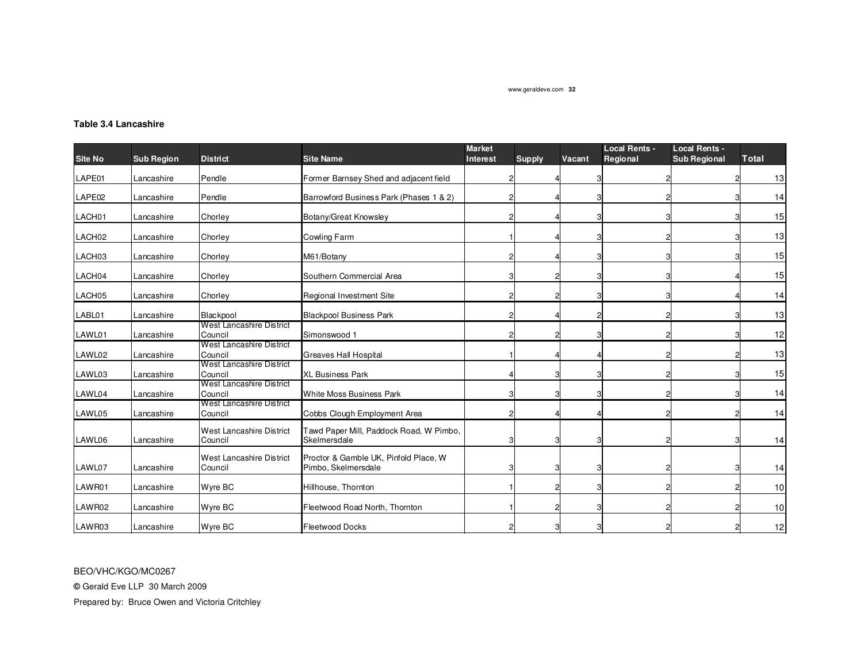## **Table 3.4 Lancashire**

| Site No            | <b>Sub Region</b> | <b>District</b>                     | <b>Site Name</b>                                             | <b>Market</b><br><b>Interest</b> | <b>Supply</b> | Vacant | <b>Local Rents -</b><br>Regional | <b>Local Rents -</b><br><b>Sub Regional</b> | Total |
|--------------------|-------------------|-------------------------------------|--------------------------------------------------------------|----------------------------------|---------------|--------|----------------------------------|---------------------------------------------|-------|
| LAPE01             | Lancashire        | Pendle                              | Former Barnsey Shed and adjacent field                       |                                  |               |        |                                  |                                             | 13    |
| LAPE02             | Lancashire        | Pendle                              | Barrowford Business Park (Phases 1 & 2)                      | 21                               |               |        |                                  |                                             | 14    |
| LACH01             | Lancashire        | Chorley                             | Botany/Great Knowsley                                        | 21                               |               |        |                                  |                                             | 15    |
| LACH <sub>02</sub> | Lancashire        | Chorley                             | <b>Cowling Farm</b>                                          |                                  |               |        |                                  |                                             | 13    |
| LACH03             | Lancashire        | Chorley                             | M61/Botany                                                   | 21                               |               |        |                                  |                                             | 15    |
| LACH04             | Lancashire        | Chorley                             | Southern Commercial Area                                     | 3                                |               |        |                                  |                                             | 15    |
| LACH05             | Lancashire        | Chorley                             | Regional Investment Site                                     | 2                                |               |        |                                  |                                             | 14    |
| LABL01             | Lancashire        | <b>Blackpool</b>                    | <b>Blackpool Business Park</b>                               | 2                                |               |        |                                  |                                             | 13    |
| LAWL01             | Lancashire        | West Lancashire District<br>Council | Simonswood 1                                                 | 2                                |               |        |                                  |                                             | 12    |
| LAWL02             | Lancashire        | West Lancashire District<br>Council | <b>Greaves Hall Hospital</b>                                 |                                  |               |        |                                  |                                             | 13    |
| LAWL03             | Lancashire        | West Lancashire District<br>Council | <b>XL Business Park</b>                                      |                                  |               |        |                                  |                                             | 15    |
| LAWL04             | Lancashire        | West Lancashire District<br>Council | <b>White Moss Business Park</b>                              | 3                                |               |        |                                  |                                             | 14    |
| LAWL05             | Lancashire        | West Lancashire District<br>Council | Cobbs Clough Employment Area                                 | 2                                |               |        |                                  |                                             | 14    |
| LAWL06             | Lancashire        | West Lancashire District<br>Council | Fawd Paper Mill, Paddock Road, W Pimbo,<br>Skelmersdale      | 3                                |               |        |                                  |                                             | 14    |
| LAWL07             | Lancashire        | West Lancashire District<br>Council | Proctor & Gamble UK, Pinfold Place, W<br>Pimbo, Skelmersdale |                                  |               |        |                                  |                                             | 14    |
| LAWR01             | Lancashire        | Wyre BC                             | Hillhouse, Thornton                                          |                                  |               |        |                                  |                                             | 10    |
| LAWR02             | Lancashire        | Wyre BC                             | Fleetwood Road North, Thornton                               |                                  |               |        |                                  |                                             | 10    |
| LAWR03             | Lancashire        | Wyre BC                             | <b>Fleetwood Docks</b>                                       |                                  |               |        |                                  |                                             | 12    |

BEO/VHC/KGO/MC0267

**©** Gerald Eve LLP 30 March 2009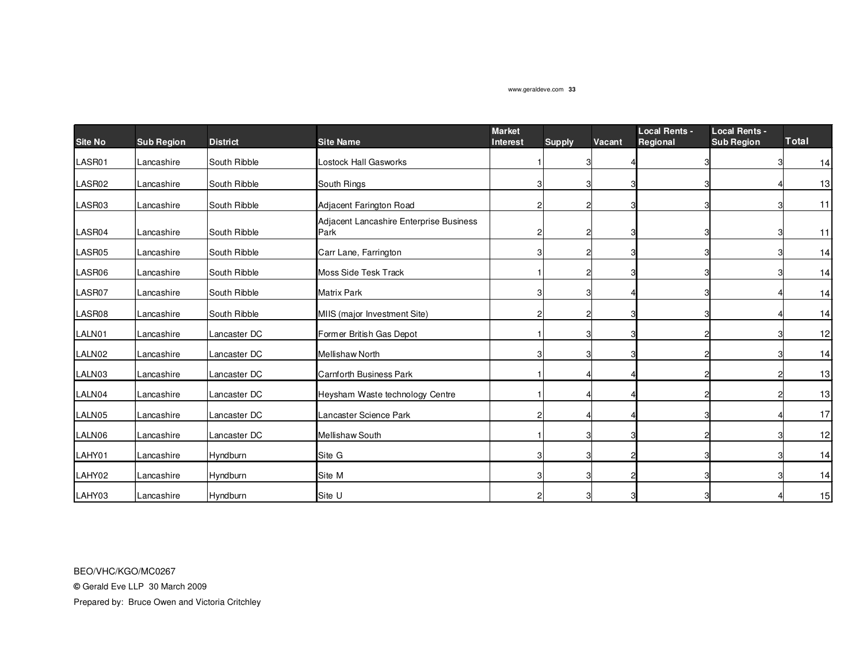| <b>Site No</b> | <b>Sub Region</b> | <b>District</b> | <b>Site Name</b>                                | <b>Market</b><br><b>Interest</b> | <b>Supply</b>  | Vacant | <b>Local Rents -</b><br>Regional | <b>Local Rents -</b><br><b>Sub Region</b> | <b>Total</b> |
|----------------|-------------------|-----------------|-------------------------------------------------|----------------------------------|----------------|--------|----------------------------------|-------------------------------------------|--------------|
| LASR01         | Lancashire        | South Ribble    | Lostock Hall Gasworks                           |                                  | 3              |        |                                  |                                           | 14           |
| LASR02         | Lancashire        | South Ribble    | South Rings                                     |                                  | 3              |        |                                  |                                           | 13           |
| LASR03         | Lancashire        | South Ribble    | Adjacent Farington Road                         |                                  | 2              |        |                                  |                                           | 11           |
| LASR04         | Lancashire        | South Ribble    | Adjacent Lancashire Enterprise Business<br>Park |                                  | $\overline{c}$ |        |                                  |                                           | 11           |
| LASR05         | Lancashire        | South Ribble    | Carr Lane, Farrington                           | з                                | $\overline{c}$ |        |                                  |                                           | 14           |
| LASR06         | Lancashire        | South Ribble    | <b>Moss Side Tesk Track</b>                     |                                  | $\overline{c}$ |        |                                  |                                           | 14           |
| LASR07         | Lancashire        | South Ribble    | <b>Matrix Park</b>                              | з                                | 3              |        |                                  |                                           | 14           |
| LASR08         | Lancashire        | South Ribble    | MIIS (major Investment Site)                    |                                  | $\overline{c}$ |        |                                  |                                           | 14           |
| LALN01         | Lancashire        | Lancaster DC    | Former British Gas Depot                        |                                  | 3              |        |                                  |                                           | 12           |
| LALN02         | Lancashire        | Lancaster DC    | <b>Mellishaw North</b>                          |                                  | 3              |        |                                  |                                           | 14           |
| LALN03         | Lancashire        | Lancaster DC    | <b>Carnforth Business Park</b>                  |                                  |                |        |                                  |                                           | 13           |
| LALN04         | Lancashire        | Lancaster DC    | Heysham Waste technology Centre                 |                                  |                |        |                                  |                                           | 13           |
| LALN05         | Lancashire        | Lancaster DC    | Lancaster Science Park                          |                                  |                |        |                                  |                                           | 17           |
| LALN06         | Lancashire        | Lancaster DC    | Mellishaw South                                 |                                  | 3              |        |                                  |                                           | 12           |
| LAHY01         | Lancashire        | Hyndburn        | Site G                                          | 3                                | 3              |        | З                                |                                           | 14           |
| LAHY02         | Lancashire        | Hyndburn        | Site M                                          | 3                                | 3              |        |                                  |                                           | 14           |
| LAHY03         | Lancashire        | Hyndburn        | Site U                                          |                                  |                |        |                                  |                                           | 15           |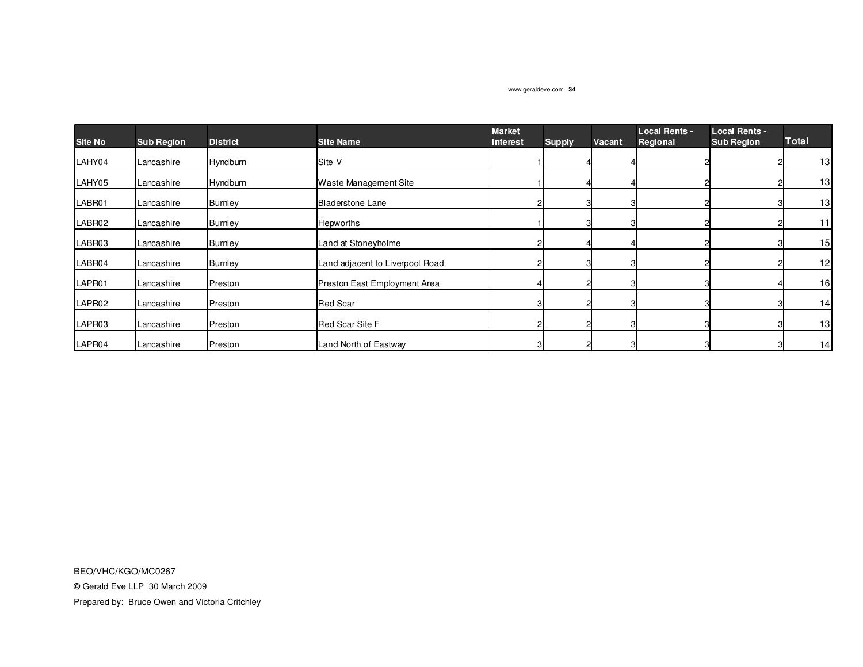| <b>Site No</b>     | <b>Sub Region</b> | <b>District</b> | <b>Site Name</b>                | <b>Market</b><br><b>Interest</b> |               | Vacant | <b>Local Rents -</b><br>Regional | <b>Local Rents -</b><br><b>Sub Region</b> | <b>Total</b> |
|--------------------|-------------------|-----------------|---------------------------------|----------------------------------|---------------|--------|----------------------------------|-------------------------------------------|--------------|
|                    |                   |                 |                                 |                                  | <b>Supply</b> |        |                                  |                                           |              |
| LAHY04             | Lancashire        | Hyndburn        | Site V                          |                                  |               |        |                                  |                                           | 13           |
| LAHY05             | Lancashire        | Hyndburn        | <b>Waste Management Site</b>    |                                  |               |        |                                  |                                           | 13           |
| LABR01             | Lancashire        | <b>Burnley</b>  | <b>Bladerstone Lane</b>         |                                  | 3             |        |                                  |                                           | 13           |
| LABR02             | Lancashire        | <b>Burnley</b>  | Hepworths                       |                                  |               |        |                                  |                                           | 11           |
| LABR03             | Lancashire        | <b>Burnley</b>  | Land at Stoneyholme             |                                  |               |        |                                  |                                           | 15           |
| LABR04             | Lancashire        | <b>Burnley</b>  | Land adjacent to Liverpool Road |                                  |               |        |                                  |                                           | 12           |
| LAPR <sub>01</sub> | Lancashire        | Preston         | Preston East Employment Area    |                                  |               |        |                                  |                                           | 16           |
| LAPR <sub>02</sub> | Lancashire        | Preston         | <b>Red Scar</b>                 |                                  |               |        |                                  |                                           | 14           |
| LAPR03             | Lancashire        | Preston         | <b>Red Scar Site F</b>          |                                  |               |        |                                  |                                           | 13           |
| LAPR04             | Lancashire        | Preston         | Land North of Eastway           |                                  |               |        |                                  |                                           | 14           |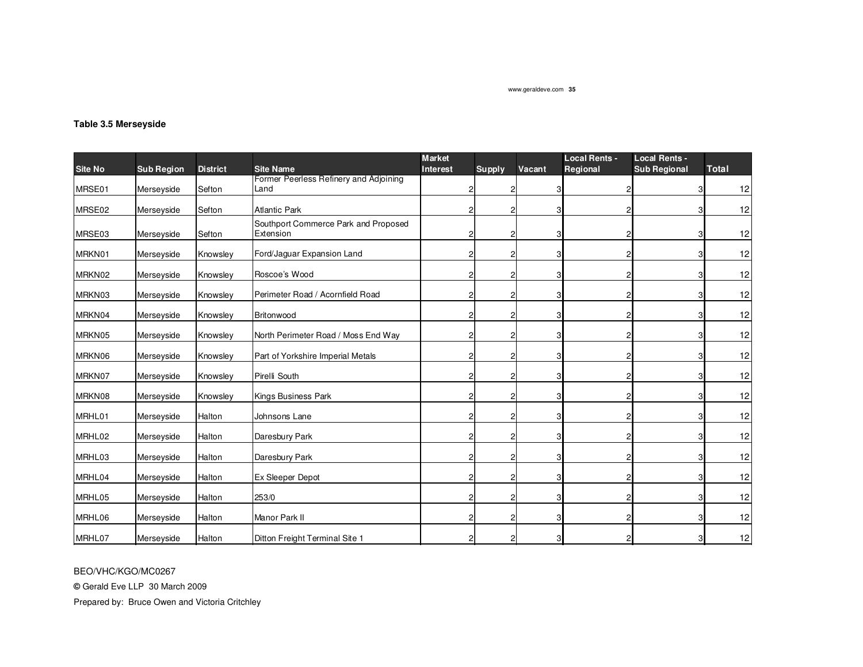## **Table 3.5 Merseyside**

| <b>Site No</b> | <b>Sub Region</b> | <b>District</b> | <b>Site Name</b>                                  | <b>Market</b><br><b>Interest</b> | Supply         | Vacant | <b>Local Rents -</b><br>Regional | <b>Local Rents -</b><br><b>Sub Regional</b> | <b>Total</b> |
|----------------|-------------------|-----------------|---------------------------------------------------|----------------------------------|----------------|--------|----------------------------------|---------------------------------------------|--------------|
| MRSE01         | Merseyside        | Sefton          | Former Peerless Refinery and Adjoining<br>Land    |                                  | $\overline{2}$ |        |                                  |                                             | 12           |
|                |                   |                 |                                                   |                                  |                |        |                                  |                                             |              |
| MRSE02         | Merseyside        | Sefton          | <b>Atlantic Park</b>                              | 2                                | $\overline{c}$ |        |                                  |                                             | 12           |
| MRSE03         | Merseyside        | Sefton          | Southport Commerce Park and Proposed<br>Extension | 2                                | $\overline{2}$ | 3      |                                  |                                             | 12           |
| MRKN01         | Merseyside        | Knowsley        | Ford/Jaguar Expansion Land                        | 2                                | $\overline{2}$ | 3      |                                  |                                             | 12           |
| MRKN02         | Merseyside        | Knowsley        | Roscoe's Wood                                     | 2                                | $\overline{2}$ |        |                                  |                                             | 12           |
| MRKN03         | Merseyside        | Knowsley        | Perimeter Road / Acornfield Road                  | 2                                | $\mathbf{2}$   |        |                                  |                                             | 12           |
| MRKN04         | Merseyside        | Knowsley        | Britonwood                                        | 2                                | $\overline{2}$ | З      |                                  |                                             | 12           |
| MRKN05         | Merseyside        | Knowsley        | North Perimeter Road / Moss End Way               | 2                                | $\mathbf{2}$   | 3      |                                  |                                             | 12           |
| MRKN06         | Merseyside        | Knowsley        | Part of Yorkshire Imperial Metals                 | 2                                | $\overline{2}$ |        |                                  |                                             | 12           |
| MRKN07         | Merseyside        | Knowsley        | Pirelli South                                     | 2                                | $\mathbf{2}$   | 3      |                                  |                                             | 12           |
| MRKN08         | Merseyside        | Knowsley        | Kings Business Park                               | 2                                | $\mathbf{2}$   | 3      |                                  |                                             | 12           |
| MRHL01         | Merseyside        | Halton          | Johnsons Lane                                     | 2                                | $\mathbf{2}$   |        |                                  |                                             | 12           |
| MRHL02         | Merseyside        | Halton          | Daresbury Park                                    | 2                                | $\mathbf{2}$   | 3      |                                  |                                             | 12           |
| MRHL03         | Merseyside        | Halton          | Daresbury Park                                    | $\overline{c}$                   | $\overline{2}$ | 3      |                                  |                                             | 12           |
| MRHL04         | Merseyside        | Halton          | Ex Sleeper Depot                                  | 2                                | $\mathbf{2}$   |        |                                  |                                             | 12           |
| MRHL05         | Merseyside        | Halton          | 253/0                                             | 2                                | $\mathbf{2}$   | з      |                                  |                                             | 12           |
| MRHL06         | Merseyside        | Halton          | Manor Park II                                     | 2                                | $\overline{2}$ | 3      |                                  |                                             | 12           |
| MRHL07         | Merseyside        | Halton          | Ditton Freight Terminal Site 1                    |                                  | $\overline{2}$ |        |                                  |                                             | 12           |

BEO/VHC/KGO/MC0267

**©** Gerald Eve LLP 30 March 2009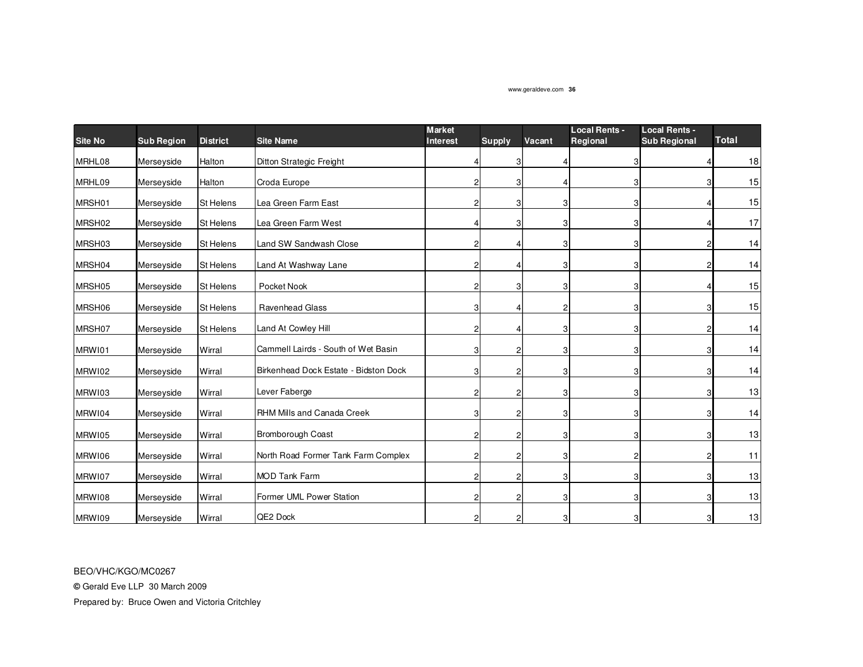| <b>Site No</b> | <b>Sub Region</b> | <b>District</b>  | <b>Site Name</b>                      | <b>Market</b><br><b>Interest</b> | <b>Supply</b>  | Vacant | <b>Local Rents -</b><br>Regional | <b>Local Rents -</b><br><b>Sub Regional</b> | <b>Total</b> |
|----------------|-------------------|------------------|---------------------------------------|----------------------------------|----------------|--------|----------------------------------|---------------------------------------------|--------------|
| MRHL08         | Merseyside        | Halton           | Ditton Strategic Freight              |                                  | 3              |        |                                  |                                             | 18           |
| MRHL09         | Merseyside        | Halton           | Croda Europe                          | $\overline{2}$                   | 3              |        | 3                                |                                             | 15           |
| MRSH01         | Merseyside        | <b>St Helens</b> | Lea Green Farm East                   | 2                                | 3              | 3      | 3                                |                                             | 15           |
| MRSH02         | Merseyside        | <b>St Helens</b> | Lea Green Farm West                   |                                  | 3              | 3'     | З                                |                                             | 17           |
| MRSH03         | Merseyside        | St Helens        | Land SW Sandwash Close                | $\overline{2}$                   |                |        | 3                                |                                             | 14           |
| MRSH04         | Merseyside        | St Helens        | Land At Washway Lane                  | $\overline{2}$                   |                |        | 3                                |                                             | 14           |
| MRSH05         | Merseyside        | <b>St Helens</b> | Pocket Nook                           | $\overline{2}$                   | 3              |        |                                  |                                             | 15           |
| MRSH06         | Merseyside        | St Helens        | Ravenhead Glass                       | 3                                |                |        |                                  |                                             | 15           |
| MRSH07         | Merseyside        | St Helens        | Land At Cowley Hill                   | $\overline{2}$                   |                |        | 3                                |                                             | 14           |
| MRW101         | Merseyside        | Wirral           | Cammell Lairds - South of Wet Basin   | 3                                | 2              |        | 3                                |                                             | 14           |
| MRW102         | Merseyside        | Wirral           | Birkenhead Dock Estate - Bidston Dock | 3                                | 2              | 3      | 3                                |                                             | 14           |
| MRW103         | Merseyside        | Wirral           | Lever Faberge                         | $\overline{2}$                   | 2              | 31     | 3                                |                                             | 13           |
| MRW104         | Merseyside        | Wirral           | RHM Mills and Canada Creek            | 3                                | 2              | 3      | 3                                |                                             | 14           |
| MRW105         | Merseyside        | Wirral           | Bromborough Coast                     | $\overline{c}$                   | $\overline{2}$ | 31     | 3                                |                                             | 13           |
| MRW106         | Merseyside        | Wirral           | North Road Former Tank Farm Complex   | $\overline{c}$                   | $\overline{2}$ | 31     | 2                                |                                             | 11           |
| MRW107         | Merseyside        | Wirral           | <b>MOD Tank Farm</b>                  | $\overline{2}$                   | 2              | 3      | 3                                |                                             | 13           |
| MRW108         | Merseyside        | Wirral           | Former UML Power Station              | $\overline{2}$                   | 2              | 31     | 3                                |                                             | 13           |
| MRW109         | Merseyside        | Wirral           | QE2 Dock                              | $\overline{c}$                   | $\overline{2}$ | 31     | 3                                |                                             | 13           |

BEO/VHC/KGO/MC0267

**©** Gerald Eve LLP 30 March 2009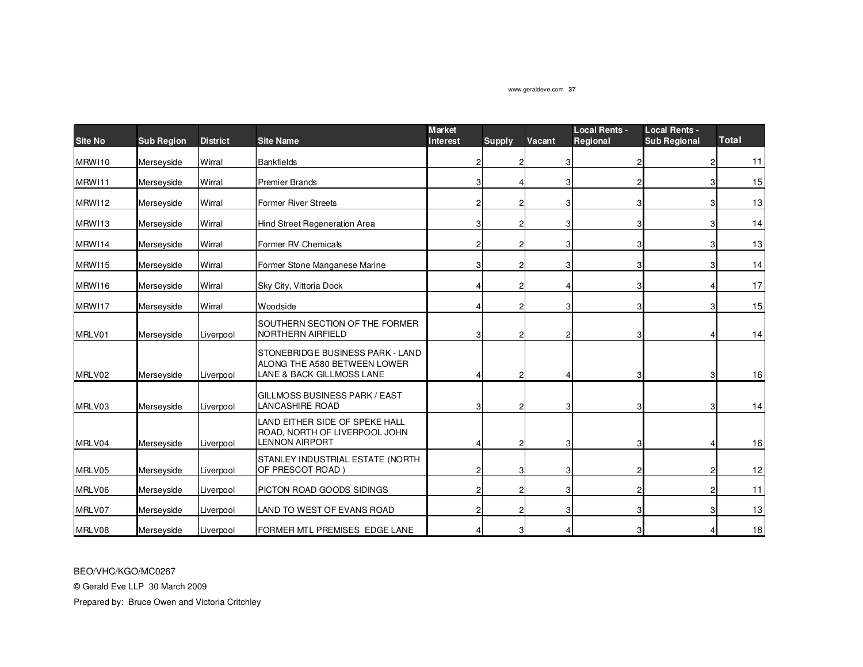| <b>Site No</b> | <b>Sub Region</b> | <b>District</b> | <b>Site Name</b>                                                                              | <b>Market</b><br><b>Interest</b> | Supply | Vacant | <b>Local Rents -</b><br><b>Regional</b> | <b>Local Rents -</b><br><b>Sub Regional</b> | <b>Total</b> |
|----------------|-------------------|-----------------|-----------------------------------------------------------------------------------------------|----------------------------------|--------|--------|-----------------------------------------|---------------------------------------------|--------------|
| MRW110         | Merseyside        | Wirral          | <b>Bankfields</b>                                                                             |                                  | 2      | 31     |                                         |                                             | 11           |
| MRW111         | Merseyside        | Wirral          | <b>Premier Brands</b>                                                                         |                                  |        | 3      |                                         |                                             | 15           |
| MRW112         | Merseyside        | Wirral          | <b>Former River Streets</b>                                                                   |                                  |        | 3      |                                         |                                             | 13           |
| MRW113         | Merseyside        | Wirral          | Hind Street Regeneration Area                                                                 |                                  | 2      | 3      |                                         |                                             | 14           |
| MRW114         | Merseyside        | Wirral          | Former RV Chemicals                                                                           |                                  | 2      | 3      |                                         |                                             | 13           |
| MRW115         | Merseyside        | Wirral          | Former Stone Manganese Marine                                                                 | Э                                | 2      | 3      |                                         |                                             | 14           |
| MRW116         | Merseyside        | Wirral          | Sky City, Vittoria Dock                                                                       |                                  | 2      |        |                                         |                                             | 17           |
| MRW117         | Merseyside        | Wirral          | Woodside                                                                                      |                                  | 2      | 3      |                                         |                                             | 15           |
| MRLV01         | Merseyside        | Liverpool       | SOUTHERN SECTION OF THE FORMER<br>NORTHERN AIRFIELD                                           | З                                | 2      |        |                                         |                                             | 14           |
| MRLV02         | Merseyside        | Liverpool       | STONEBRIDGE BUSINESS PARK - LAND<br>ALONG THE A580 BETWEEN LOWER<br>LANE & BACK GILLMOSS LANE |                                  |        |        |                                         |                                             | 16           |
| MRLV03         | Merseyside        | Liverpool       | GILLMOSS BUSINESS PARK / EAST<br><b>LANCASHIRE ROAD</b>                                       |                                  |        | 31     |                                         |                                             | 14           |
| MRLV04         | Merseyside        | Liverpool       | LAND EITHER SIDE OF SPEKE HALL<br>ROAD, NORTH OF LIVERPOOL JOHN<br><b>LENNON AIRPORT</b>      |                                  | 2      | 3      |                                         |                                             | $16$         |
| MRLV05         | Merseyside        | Liverpool       | STANLEY INDUSTRIAL ESTATE (NORTH<br>OF PRESCOT ROAD)                                          |                                  | 3      | 3      |                                         |                                             | 12           |
| MRLV06         | Merseyside        | Liverpool       | PICTON ROAD GOODS SIDINGS                                                                     |                                  | 2      | 3      |                                         |                                             | 11           |
| MRLV07         | Merseyside        | Liverpool       | LAND TO WEST OF EVANS ROAD                                                                    |                                  | 2      | 3      |                                         |                                             | 13           |
| MRLV08         | Merseyside        | Liverpool       | FORMER MTL PREMISES EDGE LANE                                                                 |                                  | 3      |        |                                         |                                             | 18           |

BEO/VHC/KGO/MC0267

**©** Gerald Eve LLP 30 March 2009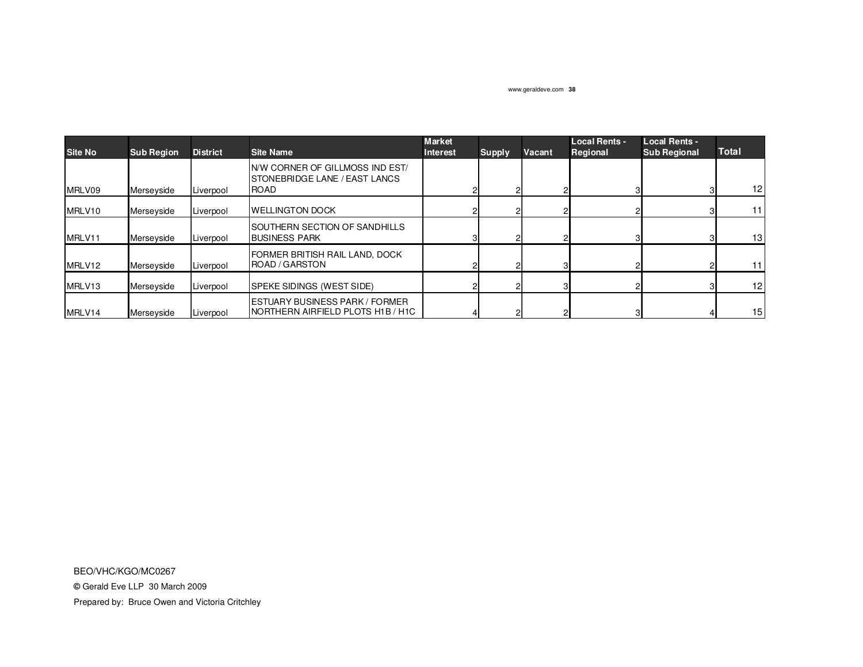| Site No | <b>Sub Region</b> | <b>District</b> | <b>Site Name</b>                                                            | <b>Market</b><br><b>Interest</b> | <b>Supply</b> | Vacant | <b>Local Rents -</b><br>Regional | <b>Local Rents -</b><br><b>Sub Regional</b> | <b>Total</b>    |
|---------|-------------------|-----------------|-----------------------------------------------------------------------------|----------------------------------|---------------|--------|----------------------------------|---------------------------------------------|-----------------|
| MRLV09  | Merseyside        | Liverpool       | IN/W CORNER OF GILLMOSS IND EST/<br>STONEBRIDGE LANE / EAST LANCS<br>ROAD   |                                  |               |        |                                  |                                             | 12 <sub>1</sub> |
| MRLV10  | Merseyside        | Liverpool       | <b>IWELLINGTON DOCK</b>                                                     |                                  |               |        |                                  |                                             | 11 <sup>1</sup> |
| MRLV11  | Merseyside        | Liverpool       | <b>ISOUTHERN SECTION OF SANDHILLS</b><br><b>BUSINESS PARK</b>               |                                  |               |        |                                  |                                             | 13 <sup>1</sup> |
| MRLV12  | Merseyside        | Liverpool       | FORMER BRITISH RAIL LAND, DOCK<br><b>ROAD / GARSTON</b>                     |                                  |               |        |                                  |                                             | 11 <sup>1</sup> |
| MRLV13  | Merseyside        | Liverpool       | <b>SPEKE SIDINGS (WEST SIDE)</b>                                            |                                  |               |        |                                  |                                             | 12 <sub>1</sub> |
| MRLV14  | Merseyside        | Liverpool       | <b>ESTUARY BUSINESS PARK / FORMER</b><br>INORTHERN AIRFIELD PLOTS H1B / H1C |                                  |               |        |                                  |                                             | 15 <sup>1</sup> |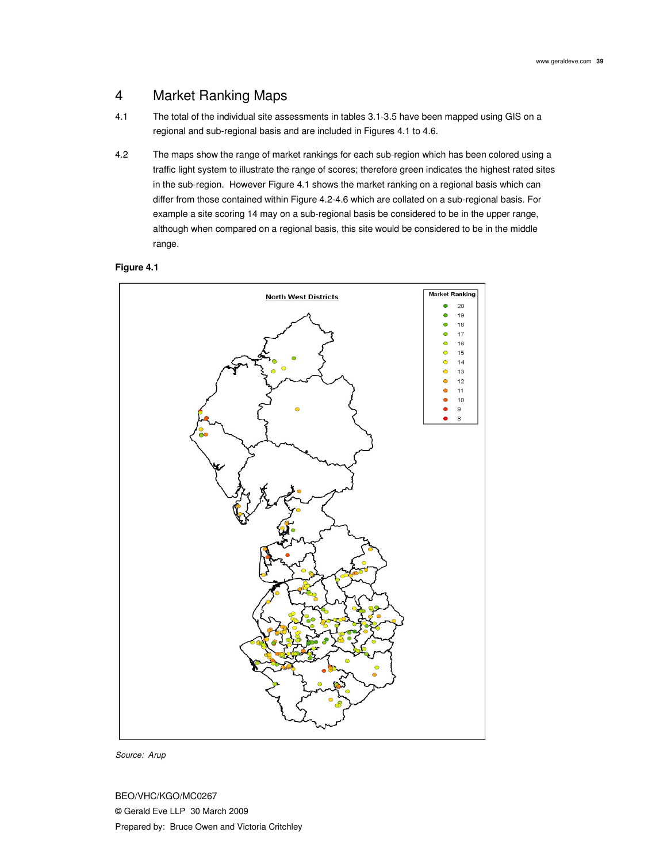## 4 Market Ranking Maps

- 4.1 The total of the individual site assessments in tables 3.1-3.5 have been mapped using GIS on a regional and sub-regional basis and are included in Figures 4.1 to 4.6.
- 4.2 The maps show the range of market rankings for each sub-region which has been colored using a traffic light system to illustrate the range of scores; therefore green indicates the highest rated sites in the sub-region. However Figure 4.1 shows the market ranking on a regional basis which can differ from those contained within Figure 4.2-4.6 which are collated on a sub-regional basis. For example a site scoring 14 may on a sub-regional basis be considered to be in the upper range, although when compared on a regional basis, this site would be considered to be in the middle range.

### **Figure 4.1**



Source: Arup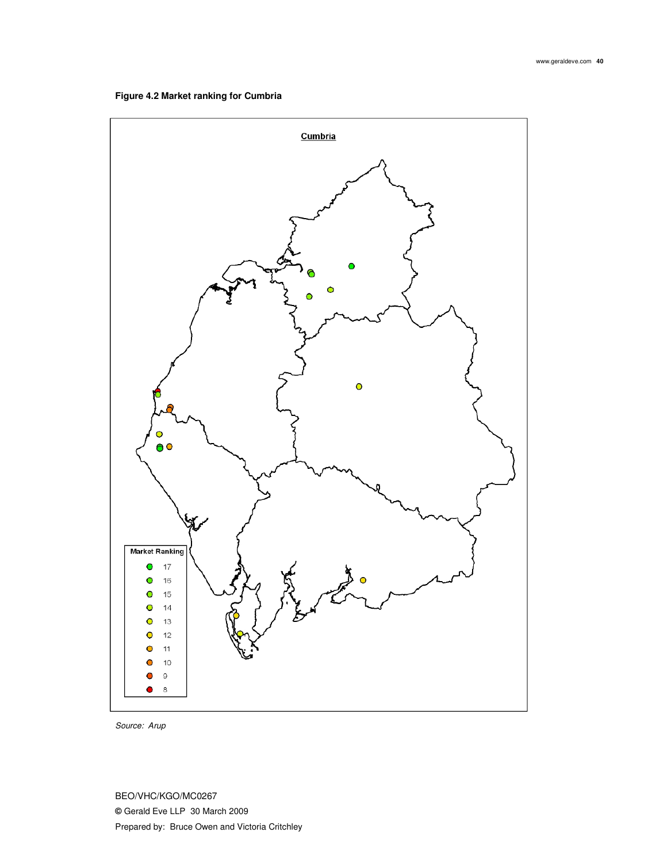

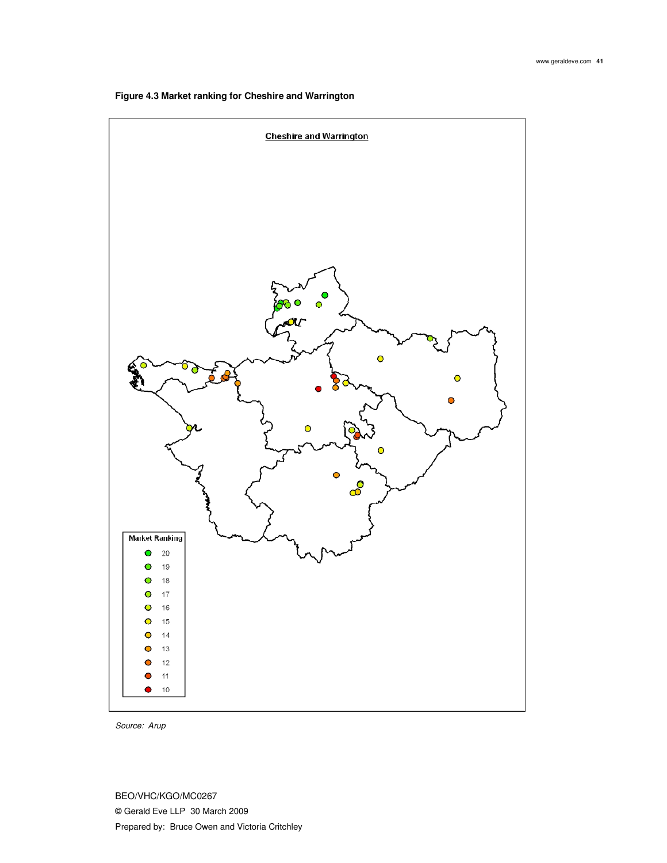

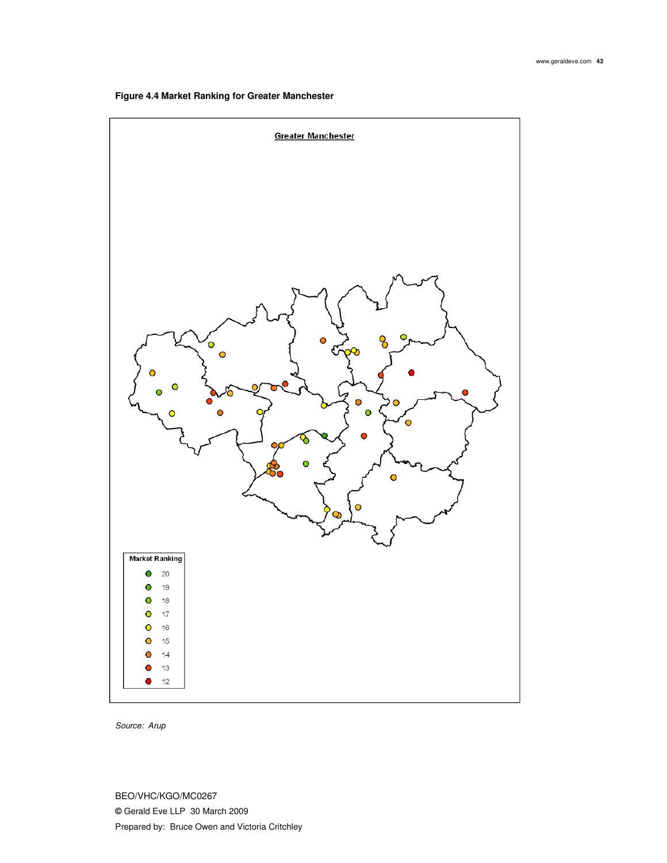

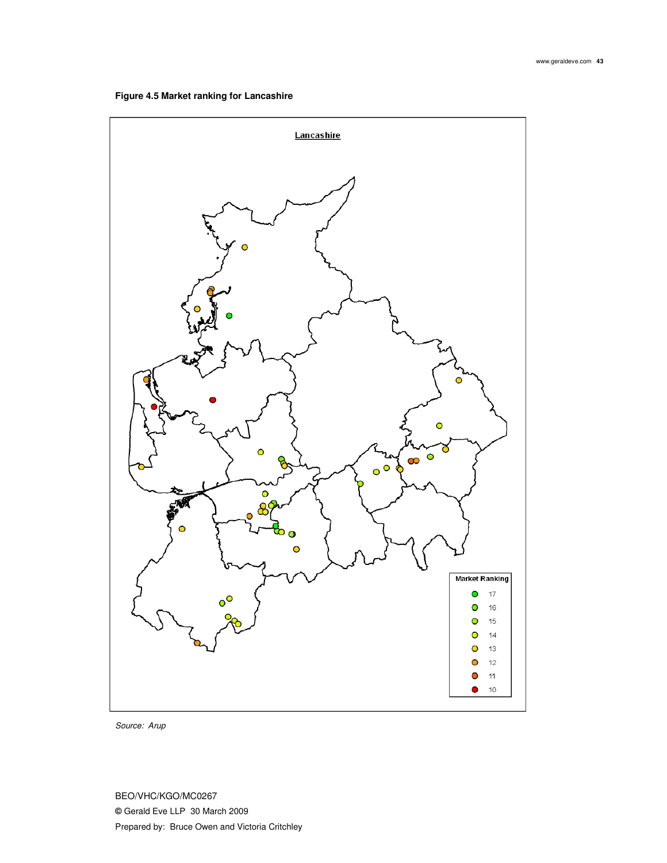

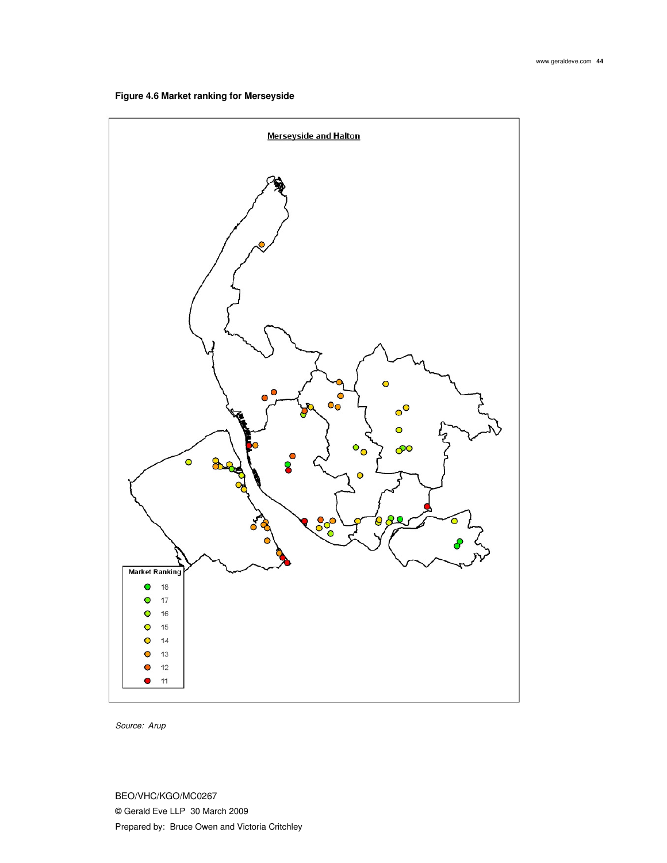

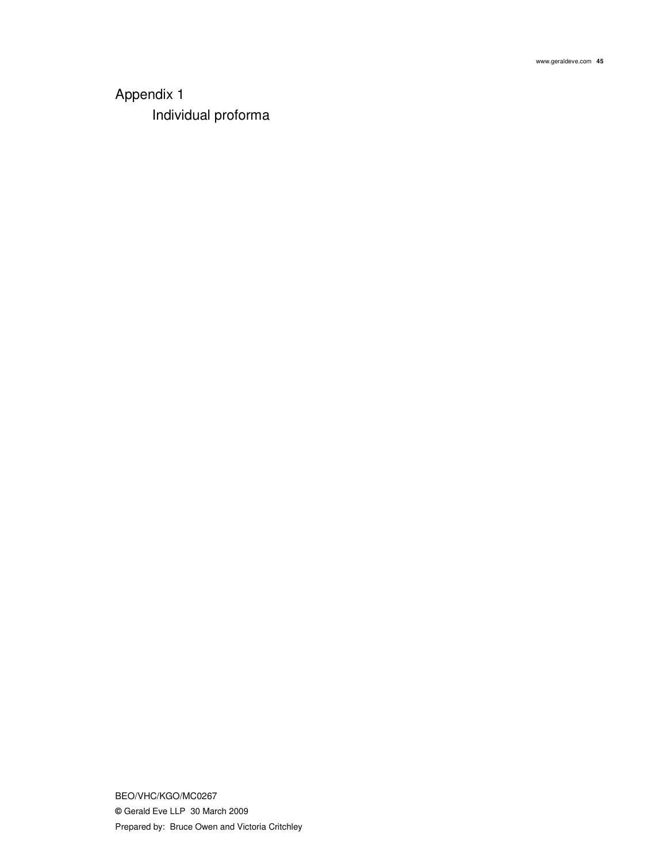## Appendix 1 Individual proforma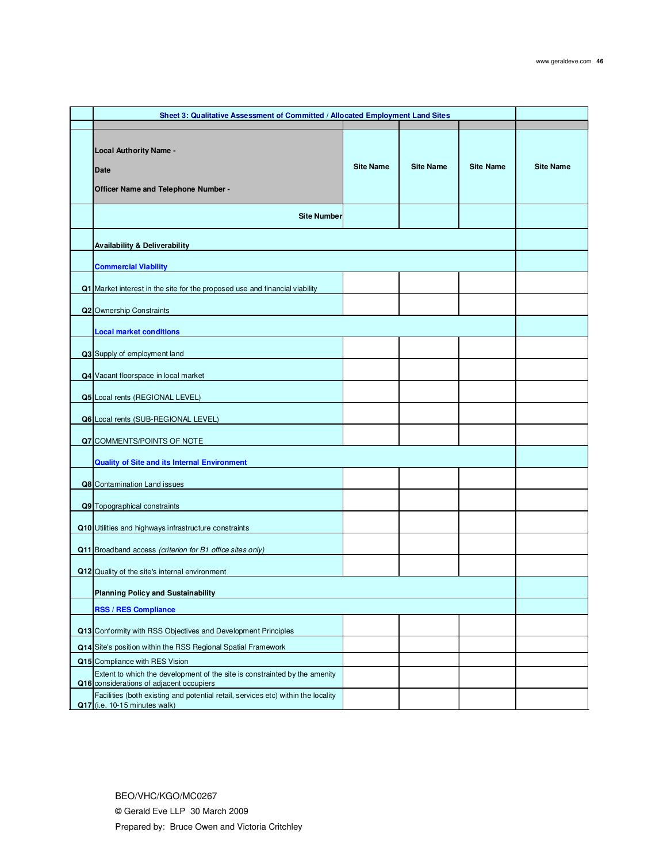| Sheet 3: Qualitative Assessment of Committed / Allocated Employment Land Sites                                         |                  |                  |                  |                  |
|------------------------------------------------------------------------------------------------------------------------|------------------|------------------|------------------|------------------|
|                                                                                                                        |                  |                  |                  |                  |
| <b>Local Authority Name -</b><br><b>Date</b><br>Officer Name and Telephone Number -                                    | <b>Site Name</b> | <b>Site Name</b> | <b>Site Name</b> | <b>Site Name</b> |
| <b>Site Number</b>                                                                                                     |                  |                  |                  |                  |
|                                                                                                                        |                  |                  |                  |                  |
| <b>Availability &amp; Deliverability</b>                                                                               |                  |                  |                  |                  |
| <b>Commercial Viability</b>                                                                                            |                  |                  |                  |                  |
|                                                                                                                        |                  |                  |                  |                  |
| Q1 Market interest in the site for the proposed use and financial viability                                            |                  |                  |                  |                  |
| Q2 Ownership Constraints                                                                                               |                  |                  |                  |                  |
| <b>Local market conditions</b>                                                                                         |                  |                  |                  |                  |
| Q3 Supply of employment land                                                                                           |                  |                  |                  |                  |
| Q4 Vacant floorspace in local market                                                                                   |                  |                  |                  |                  |
| Q5 Local rents (REGIONAL LEVEL)                                                                                        |                  |                  |                  |                  |
| Q6 Local rents (SUB-REGIONAL LEVEL)                                                                                    |                  |                  |                  |                  |
| Q7 COMMENTS/POINTS OF NOTE                                                                                             |                  |                  |                  |                  |
| <b>Quality of Site and its Internal Environment</b>                                                                    |                  |                  |                  |                  |
|                                                                                                                        |                  |                  |                  |                  |
| Q8 Contamination Land issues                                                                                           |                  |                  |                  |                  |
| Q9 Topographical constraints                                                                                           |                  |                  |                  |                  |
| Q10 Utilities and highways infrastructure constraints                                                                  |                  |                  |                  |                  |
| Q11 Broadband access (criterion for B1 office sites only)                                                              |                  |                  |                  |                  |
| Q12 Quality of the site's internal environment                                                                         |                  |                  |                  |                  |
| <b>Planning Policy and Sustainability</b>                                                                              |                  |                  |                  |                  |
| <b>RSS / RES Compliance</b>                                                                                            |                  |                  |                  |                  |
| Q13 Conformity with RSS Objectives and Development Principles                                                          |                  |                  |                  |                  |
| Q14 Site's position within the RSS Regional Spatial Framework                                                          |                  |                  |                  |                  |
| Q15 Compliance with RES Vision                                                                                         |                  |                  |                  |                  |
| Extent to which the development of the site is constrainted by the amenity<br>Q16 considerations of adjacent occupiers |                  |                  |                  |                  |
| Facilities (both existing and potential retail, services etc) within the locality<br>Q17 (i.e. 10-15 minutes walk)     |                  |                  |                  |                  |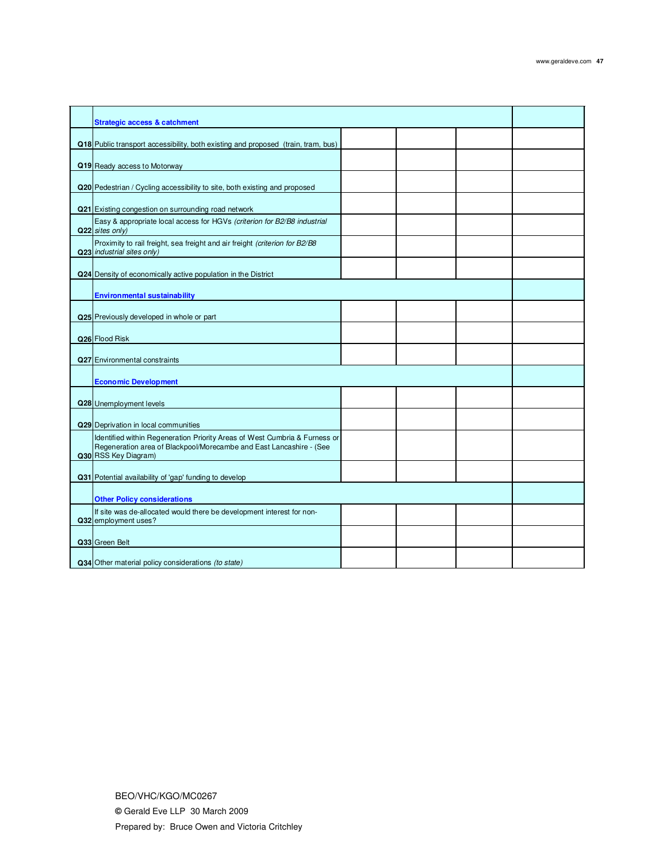| <b>Strategic access &amp; catchment</b>                                                                                                                                   |  |  |
|---------------------------------------------------------------------------------------------------------------------------------------------------------------------------|--|--|
| Q18 Public transport accessibility, both existing and proposed (train, tram, bus)                                                                                         |  |  |
|                                                                                                                                                                           |  |  |
| Q19 Ready access to Motorway                                                                                                                                              |  |  |
| Q20 Pedestrian / Cycling accessibility to site, both existing and proposed                                                                                                |  |  |
| Q21 Existing congestion on surrounding road network                                                                                                                       |  |  |
| Easy & appropriate local access for HGVs (criterion for B2/B8 industrial<br>Q22 sites only)                                                                               |  |  |
| Proximity to rail freight, sea freight and air freight (criterion for B2/B8<br>Q23 industrial sites only)                                                                 |  |  |
| Q24 Density of economically active population in the District                                                                                                             |  |  |
| <b>Environmental sustainability</b>                                                                                                                                       |  |  |
| Q25 Previously developed in whole or part                                                                                                                                 |  |  |
| Q26 Flood Risk                                                                                                                                                            |  |  |
| Q27 Environmental constraints                                                                                                                                             |  |  |
| <b>Economic Development</b>                                                                                                                                               |  |  |
| Q28 Unemployment levels                                                                                                                                                   |  |  |
| Q29 Deprivation in local communities                                                                                                                                      |  |  |
| Identified within Regeneration Priority Areas of West Cumbria & Furness or<br>Regeneration area of Blackpool/Morecambe and East Lancashire - (See<br>Q30 RSS Key Diagram) |  |  |
| Q31 Potential availability of 'gap' funding to develop                                                                                                                    |  |  |
| <b>Other Policy considerations</b>                                                                                                                                        |  |  |
| If site was de-allocated would there be development interest for non-<br>Q32 employment uses?                                                                             |  |  |
| Q33 Green Belt                                                                                                                                                            |  |  |
| Q34 Other material policy considerations (to state)                                                                                                                       |  |  |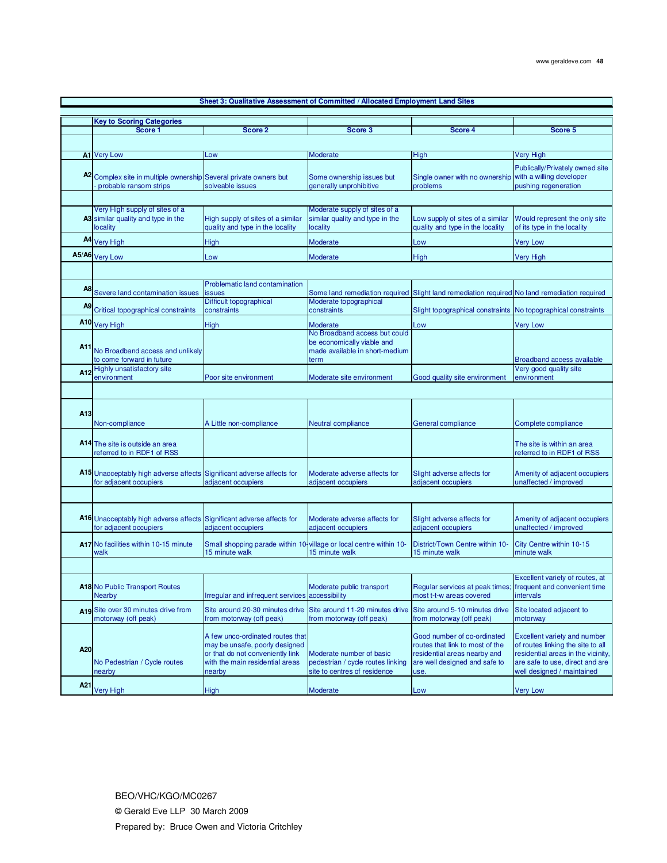|                 |                                                                                                 |                                                                                                                                                     | Sheet 3: Qualitative Assessment of Committed / Allocated Employment Land Sites                |                                                                                                                                         |                                                                                                                                                                          |
|-----------------|-------------------------------------------------------------------------------------------------|-----------------------------------------------------------------------------------------------------------------------------------------------------|-----------------------------------------------------------------------------------------------|-----------------------------------------------------------------------------------------------------------------------------------------|--------------------------------------------------------------------------------------------------------------------------------------------------------------------------|
|                 |                                                                                                 |                                                                                                                                                     |                                                                                               |                                                                                                                                         |                                                                                                                                                                          |
|                 | <b>Key to Scoring Categories</b>                                                                |                                                                                                                                                     |                                                                                               |                                                                                                                                         |                                                                                                                                                                          |
|                 | Score 1                                                                                         | Score 2                                                                                                                                             | Score 3                                                                                       | Score 4                                                                                                                                 | Score 5                                                                                                                                                                  |
|                 |                                                                                                 |                                                                                                                                                     |                                                                                               |                                                                                                                                         |                                                                                                                                                                          |
|                 |                                                                                                 |                                                                                                                                                     |                                                                                               |                                                                                                                                         |                                                                                                                                                                          |
|                 | A1 Very Low                                                                                     | Low                                                                                                                                                 | Moderate                                                                                      | High                                                                                                                                    | <b>Very High</b>                                                                                                                                                         |
|                 | A2 Complex site in multiple ownership Several private owners but<br>probable ransom strips      | solveable issues                                                                                                                                    | Some ownership issues but<br>generally unprohibitive                                          | Single owner with no ownership<br>problems                                                                                              | Publically/Privately owned site<br>with a willing developer<br>pushing regeneration                                                                                      |
|                 |                                                                                                 |                                                                                                                                                     |                                                                                               |                                                                                                                                         |                                                                                                                                                                          |
|                 | Very High supply of sites of a                                                                  |                                                                                                                                                     | Moderate supply of sites of a                                                                 |                                                                                                                                         |                                                                                                                                                                          |
|                 | A3 similar quality and type in the<br>locality                                                  | High supply of sites of a similar<br>quality and type in the locality                                                                               | similar quality and type in the<br>locality                                                   | Low supply of sites of a similar<br>quality and type in the locality                                                                    | Would represent the only site<br>of its type in the locality                                                                                                             |
|                 | A4 Very High                                                                                    | High                                                                                                                                                | Moderate                                                                                      | Low                                                                                                                                     | <b>Very Low</b>                                                                                                                                                          |
| A5/A6           | <b>Very Low</b>                                                                                 |                                                                                                                                                     |                                                                                               |                                                                                                                                         |                                                                                                                                                                          |
|                 |                                                                                                 | Low                                                                                                                                                 | Moderate                                                                                      | <b>High</b>                                                                                                                             | Very High                                                                                                                                                                |
|                 |                                                                                                 |                                                                                                                                                     |                                                                                               |                                                                                                                                         |                                                                                                                                                                          |
|                 |                                                                                                 | Problematic land contamination                                                                                                                      |                                                                                               |                                                                                                                                         |                                                                                                                                                                          |
| A8              | Severe land contamination issues                                                                | <b>issues</b>                                                                                                                                       |                                                                                               | Some land remediation required Slight land remediation required No land remediation required                                            |                                                                                                                                                                          |
| A9              |                                                                                                 | Difficult topographical                                                                                                                             | Moderate topographical                                                                        |                                                                                                                                         |                                                                                                                                                                          |
|                 | Critical topographical constraints                                                              | constraints                                                                                                                                         | constraints                                                                                   | Slight topographical constraints No topographical constraints                                                                           |                                                                                                                                                                          |
|                 | A10 Very High                                                                                   | <b>High</b>                                                                                                                                         | Moderate                                                                                      | Low                                                                                                                                     | <b>Very Low</b>                                                                                                                                                          |
|                 |                                                                                                 |                                                                                                                                                     | No Broadband access but could                                                                 |                                                                                                                                         |                                                                                                                                                                          |
| A11             | No Broadband access and unlikely<br>to come forward in future                                   |                                                                                                                                                     | be economically viable and<br>made available in short-medium<br>term                          |                                                                                                                                         | <b>Broadband access available</b>                                                                                                                                        |
| A12             | Highly unsatisfactory site                                                                      |                                                                                                                                                     |                                                                                               |                                                                                                                                         | Very good quality site                                                                                                                                                   |
|                 | environment                                                                                     | Poor site environment                                                                                                                               | Moderate site environment                                                                     | Good quality site environment                                                                                                           | environment                                                                                                                                                              |
|                 |                                                                                                 |                                                                                                                                                     |                                                                                               |                                                                                                                                         |                                                                                                                                                                          |
|                 |                                                                                                 |                                                                                                                                                     |                                                                                               |                                                                                                                                         |                                                                                                                                                                          |
| A13             |                                                                                                 |                                                                                                                                                     |                                                                                               |                                                                                                                                         |                                                                                                                                                                          |
|                 | Non-compliance                                                                                  | A Little non-compliance                                                                                                                             | Neutral compliance                                                                            | General compliance                                                                                                                      | Complete compliance                                                                                                                                                      |
|                 | A14 The site is outside an area<br>referred to in RDF1 of RSS                                   |                                                                                                                                                     |                                                                                               |                                                                                                                                         | The site is within an area<br>referred to in RDF1 of RSS                                                                                                                 |
|                 | A15 Unacceptably high adverse affects<br>for adjacent occupiers                                 | Significant adverse affects for<br>adjacent occupiers                                                                                               | Moderate adverse affects for<br>adjacent occupiers                                            | Slight adverse affects for<br>adjacent occupiers                                                                                        | Amenity of adjacent occupiers<br>unaffected / improved                                                                                                                   |
|                 |                                                                                                 |                                                                                                                                                     |                                                                                               |                                                                                                                                         |                                                                                                                                                                          |
|                 |                                                                                                 |                                                                                                                                                     |                                                                                               |                                                                                                                                         |                                                                                                                                                                          |
|                 | A16 Unacceptably high adverse affects Significant adverse affects for<br>for adjacent occupiers | adjacent occupiers                                                                                                                                  | Moderate adverse affects for<br>adjacent occupiers                                            | Slight adverse affects for<br>adjacent occupiers                                                                                        | Amenity of adjacent occupiers<br>unaffected / improved                                                                                                                   |
|                 | A17 No facilities within 10-15 minute<br>walk                                                   | Small shopping parade within 10-village or local centre within 10-<br>15 minute walk                                                                | 15 minute walk                                                                                | District/Town Centre within 10-<br>15 minute walk                                                                                       | City Centre within 10-15<br>minute walk                                                                                                                                  |
|                 |                                                                                                 |                                                                                                                                                     |                                                                                               |                                                                                                                                         |                                                                                                                                                                          |
|                 |                                                                                                 |                                                                                                                                                     |                                                                                               |                                                                                                                                         | Excellent variety of routes, at                                                                                                                                          |
|                 | A18 No Public Transport Routes<br><b>Nearby</b>                                                 | Irregular and infrequent services accessibility                                                                                                     | Moderate public transport                                                                     | Regular services at peak times;<br>most t-t-w areas covered                                                                             | frequent and convenient time<br>intervals                                                                                                                                |
|                 | A19 Site over 30 minutes drive from<br>motorway (off peak)                                      | Site around 20-30 minutes drive<br>from motorway (off peak)                                                                                         | Site around 11-20 minutes drive Site around 5-10 minutes drive<br>from motorway (off peak)    | from motorway (off peak)                                                                                                                | Site located adjacent to<br>motorway                                                                                                                                     |
| A20             | No Pedestrian / Cycle routes<br>nearby                                                          | A few unco-ordinated routes that<br>may be unsafe, poorly designed<br>or that do not conveniently link<br>with the main residential areas<br>nearby | Moderate number of basic<br>pedestrian / cycle routes linking<br>site to centres of residence | Good number of co-ordinated<br>routes that link to most of the<br>residential areas nearby and<br>are well designed and safe to<br>use. | Excellent variety and number<br>of routes linking the site to all<br>residential areas in the vicinity,<br>are safe to use, direct and are<br>well designed / maintained |
| A <sub>21</sub> | <b>Very High</b>                                                                                | <b>High</b>                                                                                                                                         | Moderate                                                                                      |                                                                                                                                         |                                                                                                                                                                          |
|                 |                                                                                                 |                                                                                                                                                     |                                                                                               | Low                                                                                                                                     | <b>Very Low</b>                                                                                                                                                          |